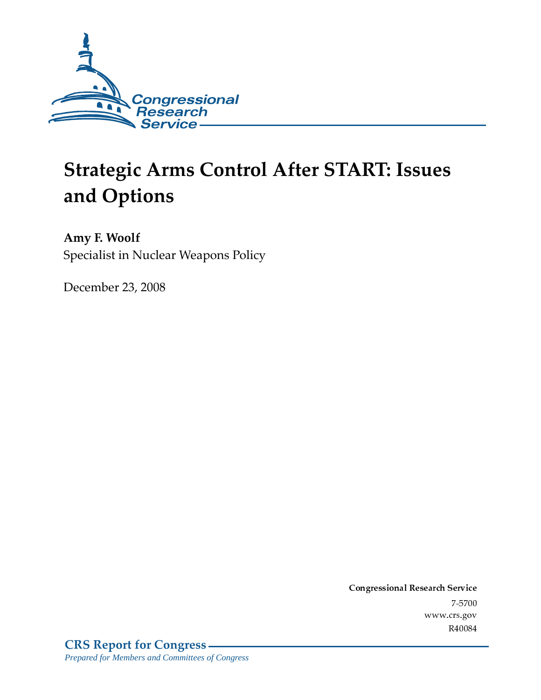

# **Strategic Arms Control After START: Issues** and Options

Amy F. Woolf Specialist in Nuclear Weapons Policy

December 23, 2008

Conglessional Research Service  $7 - 2700$ www.crs.gov R40084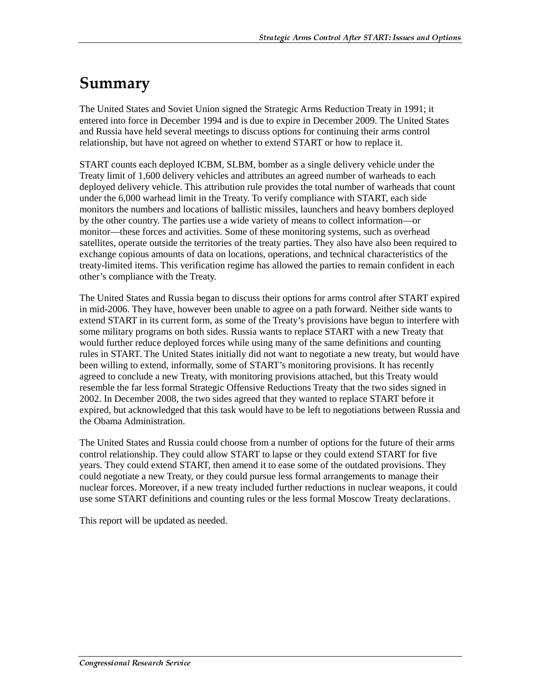## Summary

The United States and Soviet Union signed the Strategic Arms Reduction Treaty in 1991; it entered into force in December 1994 and is due to expire in December 2009. The United States and Russia have held several meetings to discuss options for continuing their arms control relationship, but have not agreed on whether to extend START or how to replace it.

START counts each deployed ICBM, SLBM, bomber as a single delivery vehicle under the Treaty limit of 1,600 delivery vehicles and attributes an agreed number of warheads to each deployed delivery vehicle. This attribution rule provides the total number of warheads that count under the 6,000 warhead limit in the Treaty. To verify compliance with START, each side monitors the numbers and locations of ballistic missiles, launchers and heavy bombers deployed by the other country. The parties use a wide variety of means to collect information—or monitor—these forces and activities. Some of these monitoring systems, such as overhead satellites, operate outside the territories of the treaty parties. They also have also been required to exchange copious amounts of data on locations, operations, and technical characteristics of the treaty-limited items. This verification regime has allowed the parties to remain confident in each other's compliance with the Treaty.

The United States and Russia began to discuss their options for arms control after START expired in mid-2006. They have, however been unable to agree on a path forward. Neither side wants to extend START in its current form, as some of the Treaty's provisions have begun to interfere with some military programs on both sides. Russia wants to replace START with a new Treaty that would further reduce deployed forces while using many of the same definitions and counting rules in START. The United States initially did not want to negotiate a new treaty, but would have been willing to extend, informally, some of START's monitoring provisions. It has recently agreed to conclude a new Treaty, with monitoring provisions attached, but this Treaty would resemble the far less formal Strategic Offensive Reductions Treaty that the two sides signed in 2002. In December 2008, the two sides agreed that they wanted to replace START before it expired, but acknowledged that this task would have to be left to negotiations between Russia and the Obama Administration.

The United States and Russia could choose from a number of options for the future of their arms control relationship. They could allow START to lapse or they could extend START for five years. They could extend START, then amend it to ease some of the outdated provisions. They could negotiate a new Treaty, or they could pursue less formal arrangements to manage their nuclear forces. Moreover, if a new treaty included further reductions in nuclear weapons, it could use some START definitions and counting rules or the less formal Moscow Treaty declarations.

This report will be updated as needed.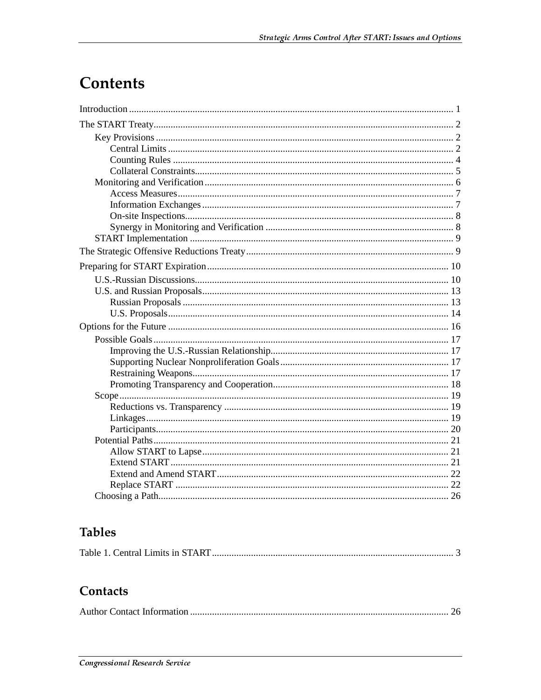## **Contents**

## **Tables**

|--|--|

## Contacts

|--|--|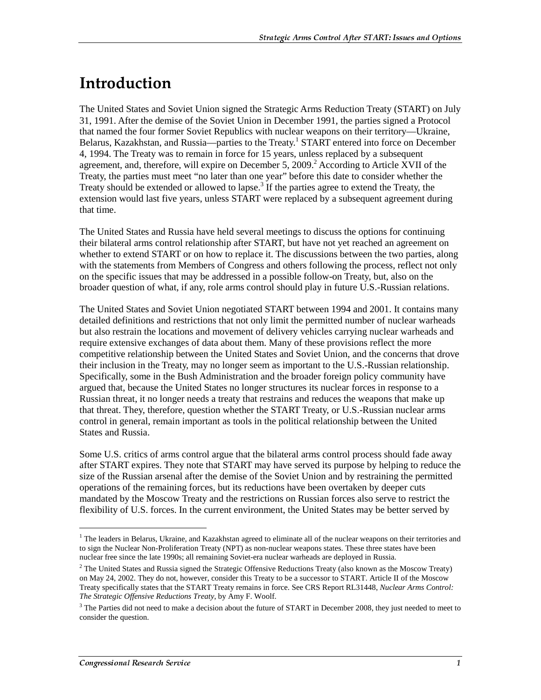## <u>Introduction</u>

The United States and Soviet Union signed the Strategic Arms Reduction Treaty (START) on July 31, 1991. After the demise of the Soviet Union in December 1991, the parties signed a Protocol that named the four former Soviet Republics with nuclear weapons on their territory—Ukraine, Belarus, Kazakhstan, and Russia—parties to the Treaty.<sup>1</sup> START entered into force on December 4, 1994. The Treaty was to remain in force for 15 years, unless replaced by a subsequent agreement, and, therefore, will expire on December 5, 2009.<sup>2</sup> According to Article XVII of the Treaty, the parties must meet "no later than one year" before this date to consider whether the Treaty should be extended or allowed to lapse.<sup>3</sup> If the parties agree to extend the Treaty, the extension would last five years, unless START were replaced by a subsequent agreement during that time.

The United States and Russia have held several meetings to discuss the options for continuing their bilateral arms control relationship after START, but have not yet reached an agreement on whether to extend START or on how to replace it. The discussions between the two parties, along with the statements from Members of Congress and others following the process, reflect not only on the specific issues that may be addressed in a possible follow-on Treaty, but, also on the broader question of what, if any, role arms control should play in future U.S.-Russian relations.

The United States and Soviet Union negotiated START between 1994 and 2001. It contains many detailed definitions and restrictions that not only limit the permitted number of nuclear warheads but also restrain the locations and movement of delivery vehicles carrying nuclear warheads and require extensive exchanges of data about them. Many of these provisions reflect the more competitive relationship between the United States and Soviet Union, and the concerns that drove their inclusion in the Treaty, may no longer seem as important to the U.S.-Russian relationship. Specifically, some in the Bush Administration and the broader foreign policy community have argued that, because the United States no longer structures its nuclear forces in response to a Russian threat, it no longer needs a treaty that restrains and reduces the weapons that make up that threat. They, therefore, question whether the START Treaty, or U.S.-Russian nuclear arms control in general, remain important as tools in the political relationship between the United States and Russia.

Some U.S. critics of arms control argue that the bilateral arms control process should fade away after START expires. They note that START may have served its purpose by helping to reduce the size of the Russian arsenal after the demise of the Soviet Union and by restraining the permitted operations of the remaining forces, but its reductions have been overtaken by deeper cuts mandated by the Moscow Treaty and the restrictions on Russian forces also serve to restrict the flexibility of U.S. forces. In the current environment, the United States may be better served by

 $\overline{a}$ 

<sup>&</sup>lt;sup>1</sup> The leaders in Belarus, Ukraine, and Kazakhstan agreed to eliminate all of the nuclear weapons on their territories and to sign the Nuclear Non-Proliferation Treaty (NPT) as non-nuclear weapons states. These three states have been nuclear free since the late 1990s; all remaining Soviet-era nuclear warheads are deployed in Russia.

 $2$  The United States and Russia signed the Strategic Offensive Reductions Treaty (also known as the Moscow Treaty) on May 24, 2002. They do not, however, consider this Treaty to be a successor to START. Article II of the Moscow Treaty specifically states that the START Treaty remains in force. See CRS Report RL31448, *Nuclear Arms Control: The Strategic Offensive Reductions Treaty*, by Amy F. Woolf.

 $3$  The Parties did not need to make a decision about the future of START in December 2008, they just needed to meet to consider the question.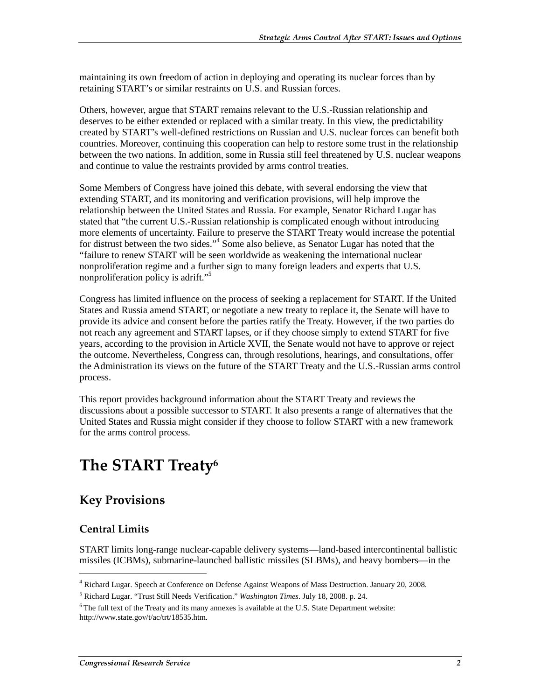maintaining its own freedom of action in deploying and operating its nuclear forces than by retaining START's or similar restraints on U.S. and Russian forces.

Others, however, argue that START remains relevant to the U.S.-Russian relationship and deserves to be either extended or replaced with a similar treaty. In this view, the predictability created by START's well-defined restrictions on Russian and U.S. nuclear forces can benefit both countries. Moreover, continuing this cooperation can help to restore some trust in the relationship between the two nations. In addition, some in Russia still feel threatened by U.S. nuclear weapons and continue to value the restraints provided by arms control treaties.

Some Members of Congress have joined this debate, with several endorsing the view that extending START, and its monitoring and verification provisions, will help improve the relationship between the United States and Russia. For example, Senator Richard Lugar has stated that "the current U.S.-Russian relationship is complicated enough without introducing more elements of uncertainty. Failure to preserve the START Treaty would increase the potential for distrust between the two sides."<sup>4</sup> Some also believe, as Senator Lugar has noted that the "failure to renew START will be seen worldwide as weakening the international nuclear nonproliferation regime and a further sign to many foreign leaders and experts that U.S. nonproliferation policy is adrift."<sup>5</sup>

Congress has limited influence on the process of seeking a replacement for START. If the United States and Russia amend START, or negotiate a new treaty to replace it, the Senate will have to provide its advice and consent before the parties ratify the Treaty. However, if the two parties do not reach any agreement and START lapses, or if they choose simply to extend START for five years, according to the provision in Article XVII, the Senate would not have to approve or reject the outcome. Nevertheless, Congress can, through resolutions, hearings, and consultations, offer the Administration its views on the future of the START Treaty and the U.S.-Russian arms control process.

This report provides background information about the START Treaty and reviews the discussions about a possible successor to START. It also presents a range of alternatives that the United States and Russia might consider if they choose to follow START with a new framework for the arms control process.

## The START Treaty $\rm ^6$

### **Key Provisions**

### Central Limits

j

START limits long-range nuclear-capable delivery systems—land-based intercontinental ballistic missiles (ICBMs), submarine-launched ballistic missiles (SLBMs), and heavy bombers—in the

<sup>4</sup> Richard Lugar. Speech at Conference on Defense Against Weapons of Mass Destruction. January 20, 2008.

<sup>5</sup> Richard Lugar. "Trust Still Needs Verification." *Washington Times*. July 18, 2008. p. 24.

 $6$ The full text of the Treaty and its many annexes is available at the U.S. State Department website: http://www.state.gov/t/ac/trt/18535.htm.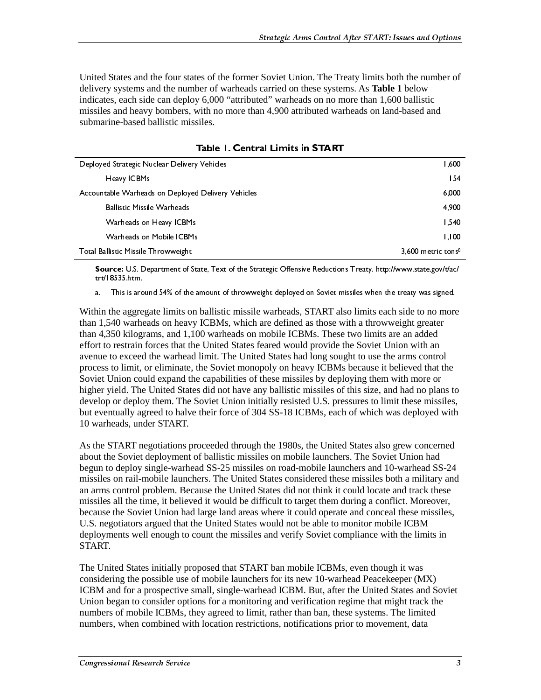United States and the four states of the former Soviet Union. The Treaty limits both the number of delivery systems and the number of warheads carried on these systems. As **Table 1** below indicates, each side can deploy 6,000 "attributed" warheads on no more than 1,600 ballistic missiles and heavy bombers, with no more than 4,900 attributed warheads on land-based and submarine-based ballistic missiles.

| Deployed Strategic Nuclear Delivery Vehicles       | 1,600                          |
|----------------------------------------------------|--------------------------------|
| Heavy ICBMs                                        | 154                            |
| Accountable Warheads on Deployed Delivery Vehicles | 6,000                          |
| <b>Ballistic Missile Warheads</b>                  | 4,900                          |
| Warheads on Heavy ICBMs                            | 1,540                          |
| Warheads on Mobile ICBMs                           | 1.100                          |
| Total Ballistic Missile Throwweight                | 3,600 metric tons <sup>0</sup> |

Table L. Central Limits in START

**Example 1.1**<br> **The Contract Control Control Control Control Control Control Control Control Control Control Control Control Control Control Control Control Control Control Control Control Control Control Control Control C** ire: Usias ken,<br>
This is zoomd 54% of the amount of throwweight deployed on Soviet missiles when the treaty was signed<br>
in the agreegate limits on hallistic missile warheads, START also limits each side to no more<br>
1.540 w a. This is aro<br>
in the aggre<br>
1,540 warhe<br>
1,540 warhe<br>
1,540 warhe<br>
1,540 warhe<br>
1,540 warhe<br>
1,1540 warhe<br>
1,1540 warhe<br>
1,1540 warhe<br>
1,1550 kilos<br>
1,1550 kilos<br>
1,1550 kilos<br>
1,1550 kilos<br>
1,1550 kilos<br>
1,1550 kilos<br>
1 in the aggregate limits on ballistic missile warheads, START also limits each side to no more 1.540 varheads on heavy ICBMs, which are defined as those with a throwweight greater to restrain forces that the United States f Within the aggregate limits on ballistic missile warheads, START also limits each side to no more than 1,540 warheads on heavy ICBMs, which are defined as those with a throwweight greater than 4,350 kilograms, and 1,100 warheads on mobile ICBMs. These two limits are an added effort to restrain forces that the United States feared would provide the Soviet Union with an avenue to exceed the warhead limit. The United States had long sought to use the arms control process to limit, or eliminate, the Soviet monopoly on heavy ICBMs because it believed that the Soviet Union could expand the capabilities of these missiles by deploying them with more or higher yield. The United States did not have any ballistic missiles of this size, and had no plans to develop or deploy them. The Soviet Union initially resisted U.S. pressures to limit these missiles, but eventually agreed to halve their force of 304 SS-18 ICBMs, each of which was deployed with 10 warheads, under START.

As the START negotiations proceeded through the 1980s, the United States also grew concerned about the Soviet deployment of ballistic missiles on mobile launchers. The Soviet Union had begun to deploy single-warhead SS-25 missiles on road-mobile launchers and 10-warhead SS-24 missiles on rail-mobile launchers. The United States considered these missiles both a military and an arms control problem. Because the United States did not think it could locate and track these missiles all the time, it believed it would be difficult to target them during a conflict. Moreover, because the Soviet Union had large land areas where it could operate and conceal these missiles, U.S. negotiators argued that the United States would not be able to monitor mobile ICBM deployments well enough to count the missiles and verify Soviet compliance with the limits in START.

The United States initially proposed that START ban mobile ICBMs, even though it was considering the possible use of mobile launchers for its new 10-warhead Peacekeeper (MX) ICBM and for a prospective small, single-warhead ICBM. But, after the United States and Soviet Union began to consider options for a monitoring and verification regime that might track the numbers of mobile ICBMs, they agreed to limit, rather than ban, these systems. The limited numbers, when combined with location restrictions, notifications prior to movement, data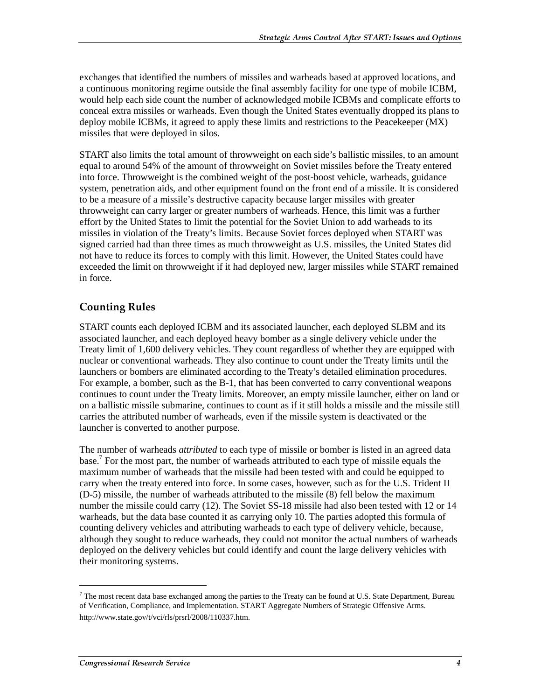exchanges that identified the numbers of missiles and warheads based at approved locations, and a continuous monitoring regime outside the final assembly facility for one type of mobile ICBM, would help each side count the number of acknowledged mobile ICBMs and complicate efforts to conceal extra missiles or warheads. Even though the United States eventually dropped its plans to deploy mobile ICBMs, it agreed to apply these limits and restrictions to the Peacekeeper (MX) missiles that were deployed in silos.

START also limits the total amount of throwweight on each side's ballistic missiles, to an amount equal to around 54% of the amount of throwweight on Soviet missiles before the Treaty entered into force. Throwweight is the combined weight of the post-boost vehicle, warheads, guidance system, penetration aids, and other equipment found on the front end of a missile. It is considered to be a measure of a missile's destructive capacity because larger missiles with greater throwweight can carry larger or greater numbers of warheads. Hence, this limit was a further effort by the United States to limit the potential for the Soviet Union to add warheads to its missiles in violation of the Treaty's limits. Because Soviet forces deployed when START was signed carried had than three times as much throwweight as U.S. missiles, the United States did not have to reduce its forces to comply with this limit. However, the United States could have exceeded the limit on throwweight if it had deployed new, larger missiles while START remained in force.

### **Counting Rules**

START counts each deployed ICBM and its associated launcher, each deployed SLBM and its associated launcher, and each deployed heavy bomber as a single delivery vehicle under the Treaty limit of 1,600 delivery vehicles. They count regardless of whether they are equipped with nuclear or conventional warheads. They also continue to count under the Treaty limits until the launchers or bombers are eliminated according to the Treaty's detailed elimination procedures. For example, a bomber, such as the B-1, that has been converted to carry conventional weapons continues to count under the Treaty limits. Moreover, an empty missile launcher, either on land or on a ballistic missile submarine, continues to count as if it still holds a missile and the missile still carries the attributed number of warheads, even if the missile system is deactivated or the launcher is converted to another purpose.

The number of warheads *attributed* to each type of missile or bomber is listed in an agreed data base.<sup>7</sup> For the most part, the number of warheads attributed to each type of missile equals the maximum number of warheads that the missile had been tested with and could be equipped to carry when the treaty entered into force. In some cases, however, such as for the U.S. Trident II (D-5) missile, the number of warheads attributed to the missile (8) fell below the maximum number the missile could carry (12). The Soviet SS-18 missile had also been tested with 12 or 14 warheads, but the data base counted it as carrying only 10. The parties adopted this formula of counting delivery vehicles and attributing warheads to each type of delivery vehicle, because, although they sought to reduce warheads, they could not monitor the actual numbers of warheads deployed on the delivery vehicles but could identify and count the large delivery vehicles with their monitoring systems.

 $7$  The most recent data base exchanged among the parties to the Treaty can be found at U.S. State Department, Bureau of Verification, Compliance, and Implementation. START Aggregate Numbers of Strategic Offensive Arms. http://www.state.gov/t/vci/rls/prsrl/2008/110337.htm.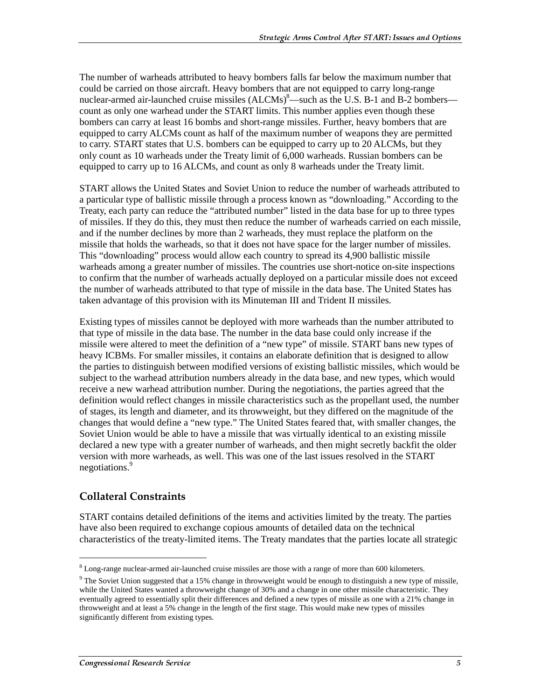The number of warheads attributed to heavy bombers falls far below the maximum number that could be carried on those aircraft. Heavy bombers that are not equipped to carry long-range nuclear-armed air-launched cruise missiles  $(ALCMs)^8$ —such as the U.S. B-1 and B-2 bombers count as only one warhead under the START limits. This number applies even though these bombers can carry at least 16 bombs and short-range missiles. Further, heavy bombers that are equipped to carry ALCMs count as half of the maximum number of weapons they are permitted to carry. START states that U.S. bombers can be equipped to carry up to 20 ALCMs, but they only count as 10 warheads under the Treaty limit of 6,000 warheads. Russian bombers can be equipped to carry up to 16 ALCMs, and count as only 8 warheads under the Treaty limit.

START allows the United States and Soviet Union to reduce the number of warheads attributed to a particular type of ballistic missile through a process known as "downloading." According to the Treaty, each party can reduce the "attributed number" listed in the data base for up to three types of missiles. If they do this, they must then reduce the number of warheads carried on each missile, and if the number declines by more than 2 warheads, they must replace the platform on the missile that holds the warheads, so that it does not have space for the larger number of missiles. This "downloading" process would allow each country to spread its 4,900 ballistic missile warheads among a greater number of missiles. The countries use short-notice on-site inspections to confirm that the number of warheads actually deployed on a particular missile does not exceed the number of warheads attributed to that type of missile in the data base. The United States has taken advantage of this provision with its Minuteman III and Trident II missiles.

Existing types of missiles cannot be deployed with more warheads than the number attributed to that type of missile in the data base. The number in the data base could only increase if the missile were altered to meet the definition of a "new type" of missile. START bans new types of heavy ICBMs. For smaller missiles, it contains an elaborate definition that is designed to allow the parties to distinguish between modified versions of existing ballistic missiles, which would be subject to the warhead attribution numbers already in the data base, and new types, which would receive a new warhead attribution number. During the negotiations, the parties agreed that the definition would reflect changes in missile characteristics such as the propellant used, the number of stages, its length and diameter, and its throwweight, but they differed on the magnitude of the changes that would define a "new type." The United States feared that, with smaller changes, the Soviet Union would be able to have a missile that was virtually identical to an existing missile declared a new type with a greater number of warheads, and then might secretly backfit the older version with more warheads, as well. This was one of the last issues resolved in the START negotiations.<sup>9</sup>

### **Collateral Constraints**

 $\overline{a}$ 

START contains detailed definitions of the items and activities limited by the treaty. The parties have also been required to exchange copious amounts of detailed data on the technical characteristics of the treaty-limited items. The Treaty mandates that the parties locate all strategic

<sup>&</sup>lt;sup>8</sup> Long-range nuclear-armed air-launched cruise missiles are those with a range of more than 600 kilometers.

 $9$  The Soviet Union suggested that a 15% change in throwweight would be enough to distinguish a new type of missile, while the United States wanted a throwweight change of 30% and a change in one other missile characteristic. They eventually agreed to essentially split their differences and defined a new types of missile as one with a 21% change in throwweight and at least a 5% change in the length of the first stage. This would make new types of missiles significantly different from existing types.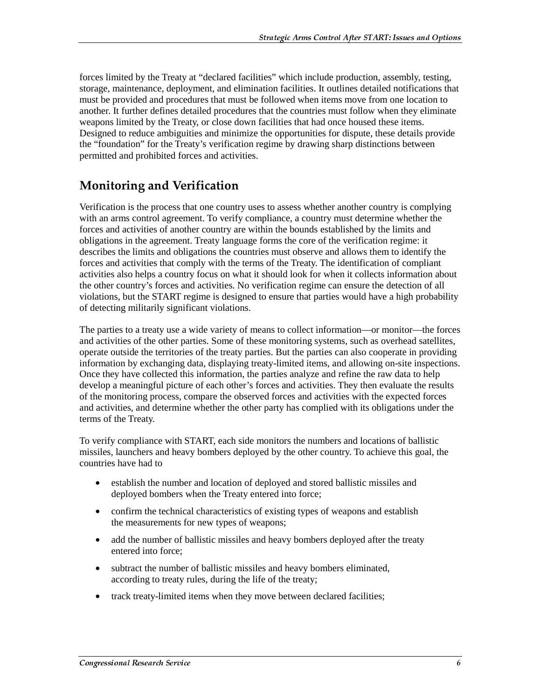forces limited by the Treaty at "declared facilities" which include production, assembly, testing, storage, maintenance, deployment, and elimination facilities. It outlines detailed notifications that must be provided and procedures that must be followed when items move from one location to another. It further defines detailed procedures that the countries must follow when they eliminate weapons limited by the Treaty, or close down facilities that had once housed these items. Designed to reduce ambiguities and minimize the opportunities for dispute, these details provide the "foundation" for the Treaty's verification regime by drawing sharp distinctions between permitted and prohibited forces and activities.

### **Monitoring and Verification**

Verification is the process that one country uses to assess whether another country is complying with an arms control agreement. To verify compliance, a country must determine whether the forces and activities of another country are within the bounds established by the limits and obligations in the agreement. Treaty language forms the core of the verification regime: it describes the limits and obligations the countries must observe and allows them to identify the forces and activities that comply with the terms of the Treaty. The identification of compliant activities also helps a country focus on what it should look for when it collects information about the other country's forces and activities. No verification regime can ensure the detection of all violations, but the START regime is designed to ensure that parties would have a high probability of detecting militarily significant violations.

The parties to a treaty use a wide variety of means to collect information—or monitor—the forces and activities of the other parties. Some of these monitoring systems, such as overhead satellites, operate outside the territories of the treaty parties. But the parties can also cooperate in providing information by exchanging data, displaying treaty-limited items, and allowing on-site inspections. Once they have collected this information, the parties analyze and refine the raw data to help develop a meaningful picture of each other's forces and activities. They then evaluate the results of the monitoring process, compare the observed forces and activities with the expected forces and activities, and determine whether the other party has complied with its obligations under the terms of the Treaty.

To verify compliance with START, each side monitors the numbers and locations of ballistic missiles, launchers and heavy bombers deployed by the other country. To achieve this goal, the countries have had to

- establish the number and location of deployed and stored ballistic missiles and deployed bombers when the Treaty entered into force;
- confirm the technical characteristics of existing types of weapons and establish the measurements for new types of weapons;
- add the number of ballistic missiles and heavy bombers deployed after the treaty entered into force;
- subtract the number of ballistic missiles and heavy bombers eliminated, according to treaty rules, during the life of the treaty;
- track treaty-limited items when they move between declared facilities;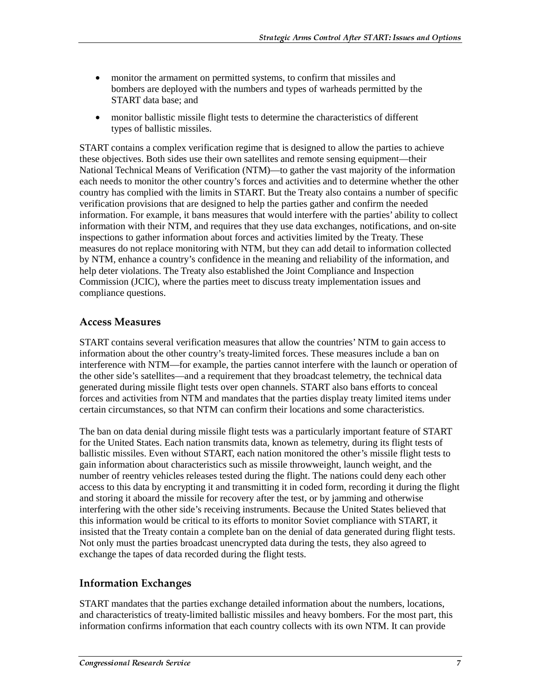- monitor the armament on permitted systems, to confirm that missiles and bombers are deployed with the numbers and types of warheads permitted by the START data base; and
- monitor ballistic missile flight tests to determine the characteristics of different types of ballistic missiles.

START contains a complex verification regime that is designed to allow the parties to achieve these objectives. Both sides use their own satellites and remote sensing equipment—their National Technical Means of Verification (NTM)—to gather the vast majority of the information each needs to monitor the other country's forces and activities and to determine whether the other country has complied with the limits in START. But the Treaty also contains a number of specific verification provisions that are designed to help the parties gather and confirm the needed information. For example, it bans measures that would interfere with the parties' ability to collect information with their NTM, and requires that they use data exchanges, notifications, and on-site inspections to gather information about forces and activities limited by the Treaty. These measures do not replace monitoring with NTM, but they can add detail to information collected by NTM, enhance a country's confidence in the meaning and reliability of the information, and help deter violations. The Treaty also established the Joint Compliance and Inspection Commission (JCIC), where the parties meet to discuss treaty implementation issues and compliance questions.

### **Access Measures**

START contains several verification measures that allow the countries' NTM to gain access to information about the other country's treaty-limited forces. These measures include a ban on interference with NTM—for example, the parties cannot interfere with the launch or operation of the other side's satellites—and a requirement that they broadcast telemetry, the technical data generated during missile flight tests over open channels. START also bans efforts to conceal forces and activities from NTM and mandates that the parties display treaty limited items under certain circumstances, so that NTM can confirm their locations and some characteristics.

The ban on data denial during missile flight tests was a particularly important feature of START for the United States. Each nation transmits data, known as telemetry, during its flight tests of ballistic missiles. Even without START, each nation monitored the other's missile flight tests to gain information about characteristics such as missile throwweight, launch weight, and the number of reentry vehicles releases tested during the flight. The nations could deny each other access to this data by encrypting it and transmitting it in coded form, recording it during the flight and storing it aboard the missile for recovery after the test, or by jamming and otherwise interfering with the other side's receiving instruments. Because the United States believed that this information would be critical to its efforts to monitor Soviet compliance with START, it insisted that the Treaty contain a complete ban on the denial of data generated during flight tests. Not only must the parties broadcast unencrypted data during the tests, they also agreed to exchange the tapes of data recorded during the flight tests.

### **Information Exchanges**

START mandates that the parties exchange detailed information about the numbers, locations, and characteristics of treaty-limited ballistic missiles and heavy bombers. For the most part, this information confirms information that each country collects with its own NTM. It can provide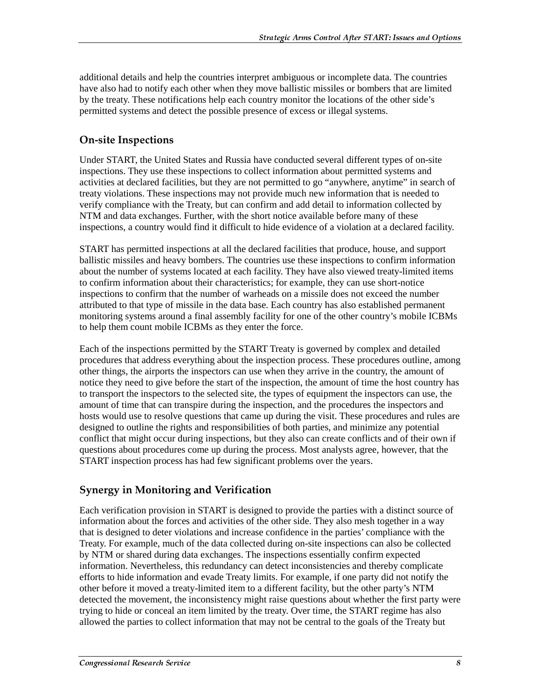additional details and help the countries interpret ambiguous or incomplete data. The countries have also had to notify each other when they move ballistic missiles or bombers that are limited by the treaty. These notifications help each country monitor the locations of the other side's permitted systems and detect the possible presence of excess or illegal systems.

### **On-site Inspections**

Under START, the United States and Russia have conducted several different types of on-site inspections. They use these inspections to collect information about permitted systems and activities at declared facilities, but they are not permitted to go "anywhere, anytime" in search of treaty violations. These inspections may not provide much new information that is needed to verify compliance with the Treaty, but can confirm and add detail to information collected by NTM and data exchanges. Further, with the short notice available before many of these inspections, a country would find it difficult to hide evidence of a violation at a declared facility.

START has permitted inspections at all the declared facilities that produce, house, and support ballistic missiles and heavy bombers. The countries use these inspections to confirm information about the number of systems located at each facility. They have also viewed treaty-limited items to confirm information about their characteristics; for example, they can use short-notice inspections to confirm that the number of warheads on a missile does not exceed the number attributed to that type of missile in the data base. Each country has also established permanent monitoring systems around a final assembly facility for one of the other country's mobile ICBMs to help them count mobile ICBMs as they enter the force.

Each of the inspections permitted by the START Treaty is governed by complex and detailed procedures that address everything about the inspection process. These procedures outline, among other things, the airports the inspectors can use when they arrive in the country, the amount of notice they need to give before the start of the inspection, the amount of time the host country has to transport the inspectors to the selected site, the types of equipment the inspectors can use, the amount of time that can transpire during the inspection, and the procedures the inspectors and hosts would use to resolve questions that came up during the visit. These procedures and rules are designed to outline the rights and responsibilities of both parties, and minimize any potential conflict that might occur during inspections, but they also can create conflicts and of their own if questions about procedures come up during the process. Most analysts agree, however, that the START inspection process has had few significant problems over the years.

### Synergy in Monitoring and Verification

Each verification provision in START is designed to provide the parties with a distinct source of information about the forces and activities of the other side. They also mesh together in a way that is designed to deter violations and increase confidence in the parties' compliance with the Treaty. For example, much of the data collected during on-site inspections can also be collected by NTM or shared during data exchanges. The inspections essentially confirm expected information. Nevertheless, this redundancy can detect inconsistencies and thereby complicate efforts to hide information and evade Treaty limits. For example, if one party did not notify the other before it moved a treaty-limited item to a different facility, but the other party's NTM detected the movement, the inconsistency might raise questions about whether the first party were trying to hide or conceal an item limited by the treaty. Over time, the START regime has also allowed the parties to collect information that may not be central to the goals of the Treaty but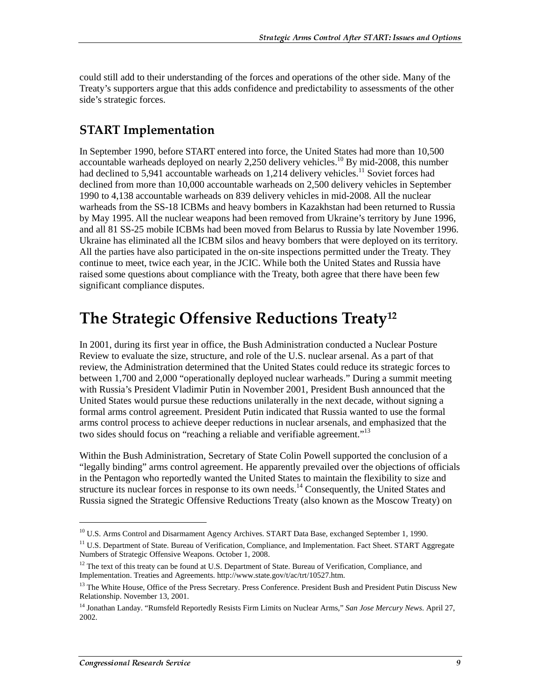could still add to their understanding of the forces and operations of the other side. Many of the Treaty's supporters argue that this adds confidence and predictability to assessments of the other side's strategic forces.

## START Implementation

In September 1990, before START entered into force, the United States had more than 10,500 accountable warheads deployed on nearly 2,250 delivery vehicles.<sup>10</sup> By mid-2008, this number had declined to 5,941 accountable warheads on 1,214 delivery vehicles.<sup>11</sup> Soviet forces had declined from more than 10,000 accountable warheads on 2,500 delivery vehicles in September 1990 to 4,138 accountable warheads on 839 delivery vehicles in mid-2008. All the nuclear warheads from the SS-18 ICBMs and heavy bombers in Kazakhstan had been returned to Russia by May 1995. All the nuclear weapons had been removed from Ukraine's territory by June 1996, and all 81 SS-25 mobile ICBMs had been moved from Belarus to Russia by late November 1996. Ukraine has eliminated all the ICBM silos and heavy bombers that were deployed on its territory. All the parties have also participated in the on-site inspections permitted under the Treaty. They continue to meet, twice each year, in the JCIC. While both the United States and Russia have raised some questions about compliance with the Treaty, both agree that there have been few significant compliance disputes.

## The Strategic Offensive Reductions Treaty $^{\rm 12}$

In 2001, during its first year in office, the Bush Administration conducted a Nuclear Posture Review to evaluate the size, structure, and role of the U.S. nuclear arsenal. As a part of that review, the Administration determined that the United States could reduce its strategic forces to between 1,700 and 2,000 "operationally deployed nuclear warheads." During a summit meeting with Russia's President Vladimir Putin in November 2001, President Bush announced that the United States would pursue these reductions unilaterally in the next decade, without signing a formal arms control agreement. President Putin indicated that Russia wanted to use the formal arms control process to achieve deeper reductions in nuclear arsenals, and emphasized that the two sides should focus on "reaching a reliable and verifiable agreement."<sup>13</sup>

Within the Bush Administration, Secretary of State Colin Powell supported the conclusion of a "legally binding" arms control agreement. He apparently prevailed over the objections of officials in the Pentagon who reportedly wanted the United States to maintain the flexibility to size and structure its nuclear forces in response to its own needs.<sup>14</sup> Consequently, the United States and Russia signed the Strategic Offensive Reductions Treaty (also known as the Moscow Treaty) on

 $\overline{a}$ 

<sup>&</sup>lt;sup>10</sup> U.S. Arms Control and Disarmament Agency Archives. START Data Base, exchanged September 1, 1990.

<sup>&</sup>lt;sup>11</sup> U.S. Department of State. Bureau of Verification, Compliance, and Implementation. Fact Sheet. START Aggregate Numbers of Strategic Offensive Weapons. October 1, 2008.

 $12$  The text of this treaty can be found at U.S. Department of State. Bureau of Verification, Compliance, and Implementation. Treaties and Agreements. http://www.state.gov/t/ac/trt/10527.htm.

<sup>&</sup>lt;sup>13</sup> The White House, Office of the Press Secretary. Press Conference. President Bush and President Putin Discuss New Relationship. November 13, 2001.

<sup>14</sup> Jonathan Landay. "Rumsfeld Reportedly Resists Firm Limits on Nuclear Arms," *San Jose Mercury News*. April 27, 2002.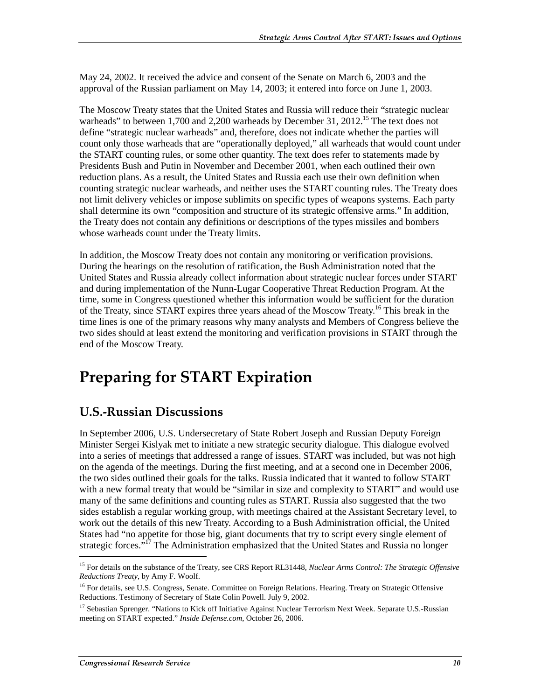May 24, 2002. It received the advice and consent of the Senate on March 6, 2003 and the approval of the Russian parliament on May 14, 2003; it entered into force on June 1, 2003.

The Moscow Treaty states that the United States and Russia will reduce their "strategic nuclear warheads" to between 1,700 and 2,200 warheads by December 31, 2012.<sup>15</sup> The text does not define "strategic nuclear warheads" and, therefore, does not indicate whether the parties will count only those warheads that are "operationally deployed," all warheads that would count under the START counting rules, or some other quantity. The text does refer to statements made by Presidents Bush and Putin in November and December 2001, when each outlined their own reduction plans. As a result, the United States and Russia each use their own definition when counting strategic nuclear warheads, and neither uses the START counting rules. The Treaty does not limit delivery vehicles or impose sublimits on specific types of weapons systems. Each party shall determine its own "composition and structure of its strategic offensive arms." In addition, the Treaty does not contain any definitions or descriptions of the types missiles and bombers whose warheads count under the Treaty limits.

In addition, the Moscow Treaty does not contain any monitoring or verification provisions. During the hearings on the resolution of ratification, the Bush Administration noted that the United States and Russia already collect information about strategic nuclear forces under START and during implementation of the Nunn-Lugar Cooperative Threat Reduction Program. At the time, some in Congress questioned whether this information would be sufficient for the duration of the Treaty, since START expires three years ahead of the Moscow Treaty.<sup>16</sup> This break in the time lines is one of the primary reasons why many analysts and Members of Congress believe the two sides should at least extend the monitoring and verification provisions in START through the end of the Moscow Treaty.

## **Preparing for START Expiration**

### **U.S.-Russian Discussions**

In September 2006, U.S. Undersecretary of State Robert Joseph and Russian Deputy Foreign Minister Sergei Kislyak met to initiate a new strategic security dialogue. This dialogue evolved into a series of meetings that addressed a range of issues. START was included, but was not high on the agenda of the meetings. During the first meeting, and at a second one in December 2006, the two sides outlined their goals for the talks. Russia indicated that it wanted to follow START with a new formal treaty that would be "similar in size and complexity to START" and would use many of the same definitions and counting rules as START. Russia also suggested that the two sides establish a regular working group, with meetings chaired at the Assistant Secretary level, to work out the details of this new Treaty. According to a Bush Administration official, the United States had "no appetite for those big, giant documents that try to script every single element of strategic forces."<sup>17</sup> The Administration emphasized that the United States and Russia no longer

<sup>15</sup> For details on the substance of the Treaty, see CRS Report RL31448, *Nuclear Arms Control: The Strategic Offensive Reductions Treaty*, by Amy F. Woolf.

<sup>&</sup>lt;sup>16</sup> For details, see U.S. Congress, Senate. Committee on Foreign Relations. Hearing. Treaty on Strategic Offensive Reductions. Testimony of Secretary of State Colin Powell. July 9, 2002.

<sup>&</sup>lt;sup>17</sup> Sebastian Sprenger. "Nations to Kick off Initiative Against Nuclear Terrorism Next Week. Separate U.S.-Russian meeting on START expected." *Inside Defense.com*, October 26, 2006.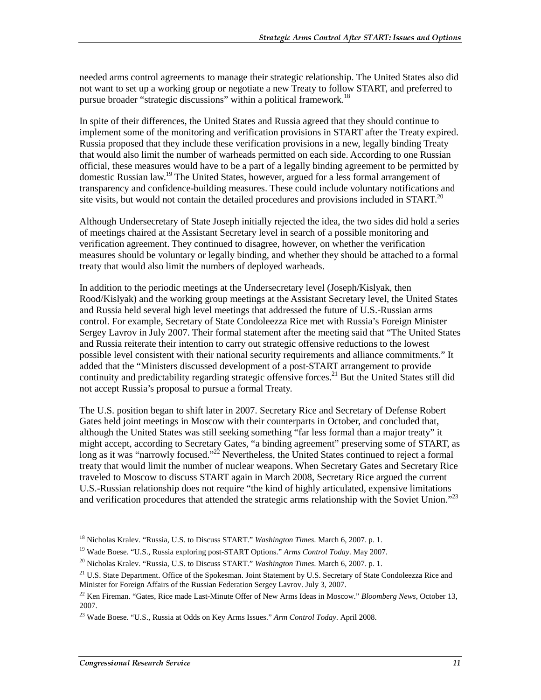needed arms control agreements to manage their strategic relationship. The United States also did not want to set up a working group or negotiate a new Treaty to follow START, and preferred to pursue broader "strategic discussions" within a political framework.<sup>18</sup>

In spite of their differences, the United States and Russia agreed that they should continue to implement some of the monitoring and verification provisions in START after the Treaty expired. Russia proposed that they include these verification provisions in a new, legally binding Treaty that would also limit the number of warheads permitted on each side. According to one Russian official, these measures would have to be a part of a legally binding agreement to be permitted by domestic Russian law.19 The United States, however, argued for a less formal arrangement of transparency and confidence-building measures. These could include voluntary notifications and site visits, but would not contain the detailed procedures and provisions included in  $START$ <sup>20</sup>

Although Undersecretary of State Joseph initially rejected the idea, the two sides did hold a series of meetings chaired at the Assistant Secretary level in search of a possible monitoring and verification agreement. They continued to disagree, however, on whether the verification measures should be voluntary or legally binding, and whether they should be attached to a formal treaty that would also limit the numbers of deployed warheads.

In addition to the periodic meetings at the Undersecretary level (Joseph/Kislyak, then Rood/Kislyak) and the working group meetings at the Assistant Secretary level, the United States and Russia held several high level meetings that addressed the future of U.S.-Russian arms control. For example, Secretary of State Condoleezza Rice met with Russia's Foreign Minister Sergey Lavrov in July 2007. Their formal statement after the meeting said that "The United States and Russia reiterate their intention to carry out strategic offensive reductions to the lowest possible level consistent with their national security requirements and alliance commitments." It added that the "Ministers discussed development of a post-START arrangement to provide continuity and predictability regarding strategic offensive forces.<sup>21</sup> But the United States still did not accept Russia's proposal to pursue a formal Treaty.

The U.S. position began to shift later in 2007. Secretary Rice and Secretary of Defense Robert Gates held joint meetings in Moscow with their counterparts in October, and concluded that, although the United States was still seeking something "far less formal than a major treaty" it might accept, according to Secretary Gates, "a binding agreement" preserving some of START, as long as it was "narrowly focused."<sup>22</sup> Nevertheless, the United States continued to reject a formal treaty that would limit the number of nuclear weapons. When Secretary Gates and Secretary Rice traveled to Moscow to discuss START again in March 2008, Secretary Rice argued the current U.S.-Russian relationship does not require "the kind of highly articulated, expensive limitations and verification procedures that attended the strategic arms relationship with the Soviet Union."<sup>23</sup>

<sup>18</sup> Nicholas Kralev. "Russia, U.S. to Discuss START." *Washington Times*. March 6, 2007. p. 1.

<sup>19</sup> Wade Boese. "U.S., Russia exploring post-START Options." *Arms Control Today*. May 2007.

<sup>20</sup> Nicholas Kralev. "Russia, U.S. to Discuss START." *Washington Times*. March 6, 2007. p. 1.

<sup>&</sup>lt;sup>21</sup> U.S. State Department. Office of the Spokesman. Joint Statement by U.S. Secretary of State Condoleezza Rice and Minister for Foreign Affairs of the Russian Federation Sergey Lavrov. July 3, 2007.

<sup>22</sup> Ken Fireman. "Gates, Rice made Last-Minute Offer of New Arms Ideas in Moscow." *Bloomberg News*, October 13, 2007.

<sup>23</sup> Wade Boese. "U.S., Russia at Odds on Key Arms Issues." *Arm Control Today*. April 2008.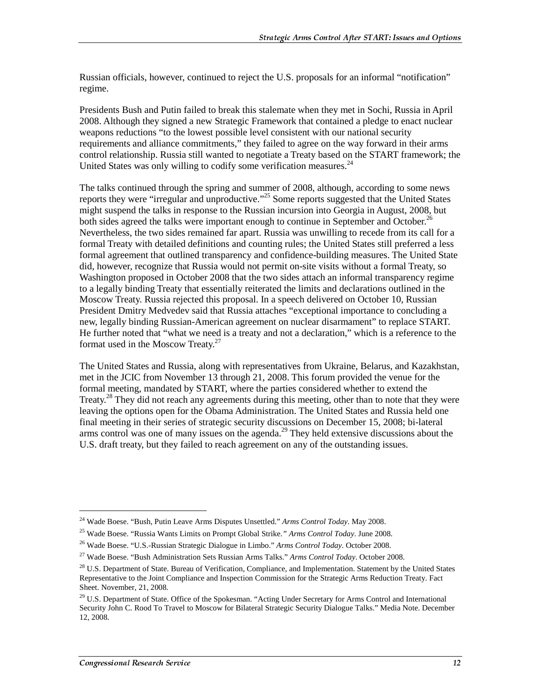Russian officials, however, continued to reject the U.S. proposals for an informal "notification" regime.

Presidents Bush and Putin failed to break this stalemate when they met in Sochi, Russia in April 2008. Although they signed a new Strategic Framework that contained a pledge to enact nuclear weapons reductions "to the lowest possible level consistent with our national security requirements and alliance commitments," they failed to agree on the way forward in their arms control relationship. Russia still wanted to negotiate a Treaty based on the START framework; the United States was only willing to codify some verification measures. $^{24}$ 

The talks continued through the spring and summer of 2008, although, according to some news reports they were "irregular and unproductive."25 Some reports suggested that the United States might suspend the talks in response to the Russian incursion into Georgia in August, 2008, but both sides agreed the talks were important enough to continue in September and October.<sup>2</sup> Nevertheless, the two sides remained far apart. Russia was unwilling to recede from its call for a formal Treaty with detailed definitions and counting rules; the United States still preferred a less formal agreement that outlined transparency and confidence-building measures. The United State did, however, recognize that Russia would not permit on-site visits without a formal Treaty, so Washington proposed in October 2008 that the two sides attach an informal transparency regime to a legally binding Treaty that essentially reiterated the limits and declarations outlined in the Moscow Treaty. Russia rejected this proposal. In a speech delivered on October 10, Russian President Dmitry Medvedev said that Russia attaches "exceptional importance to concluding a new, legally binding Russian-American agreement on nuclear disarmament" to replace START. He further noted that "what we need is a treaty and not a declaration," which is a reference to the format used in the Moscow Treaty. $27$ 

The United States and Russia, along with representatives from Ukraine, Belarus, and Kazakhstan, met in the JCIC from November 13 through 21, 2008. This forum provided the venue for the formal meeting, mandated by START, where the parties considered whether to extend the Treaty.<sup>28</sup> They did not reach any agreements during this meeting, other than to note that they were leaving the options open for the Obama Administration. The United States and Russia held one final meeting in their series of strategic security discussions on December 15, 2008; bi-lateral arms control was one of many issues on the agenda.<sup>29</sup> They held extensive discussions about the U.S. draft treaty, but they failed to reach agreement on any of the outstanding issues.

<sup>24</sup> Wade Boese. "Bush, Putin Leave Arms Disputes Unsettled." *Arms Control Today*. May 2008.

<sup>25</sup> Wade Boese. "Russia Wants Limits on Prompt Global Strike.*" Arms Control Today*. June 2008.

<sup>26</sup> Wade Boese. "U.S.-Russian Strategic Dialogue in Limbo." *Arms Control Today*. October 2008.

<sup>27</sup> Wade Boese. "Bush Administration Sets Russian Arms Talks." *Arms Control Today*. October 2008.

<sup>&</sup>lt;sup>28</sup> U.S. Department of State. Bureau of Verification, Compliance, and Implementation. Statement by the United States Representative to the Joint Compliance and Inspection Commission for the Strategic Arms Reduction Treaty. Fact Sheet. November, 21, 2008.

 $29$  U.S. Department of State. Office of the Spokesman. "Acting Under Secretary for Arms Control and International Security John C. Rood To Travel to Moscow for Bilateral Strategic Security Dialogue Talks." Media Note. December 12, 2008.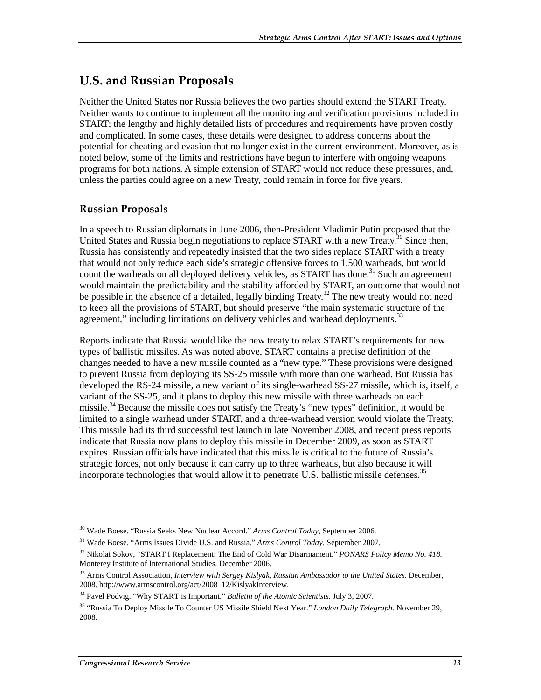### U.S. and Russian Proposals

Neither the United States nor Russia believes the two parties should extend the START Treaty. Neither wants to continue to implement all the monitoring and verification provisions included in START; the lengthy and highly detailed lists of procedures and requirements have proven costly and complicated. In some cases, these details were designed to address concerns about the potential for cheating and evasion that no longer exist in the current environment. Moreover, as is noted below, some of the limits and restrictions have begun to interfere with ongoing weapons programs for both nations. A simple extension of START would not reduce these pressures, and, unless the parties could agree on a new Treaty, could remain in force for five years.

### **Russian Proposals**

In a speech to Russian diplomats in June 2006, then-President Vladimir Putin proposed that the United States and Russia begin negotiations to replace START with a new Treaty.<sup>30</sup> Since then, Russia has consistently and repeatedly insisted that the two sides replace START with a treaty that would not only reduce each side's strategic offensive forces to 1,500 warheads, but would count the warheads on all deployed delivery vehicles, as START has done.<sup>31</sup> Such an agreement would maintain the predictability and the stability afforded by START, an outcome that would not be possible in the absence of a detailed, legally binding Treaty.<sup>32</sup> The new treaty would not need to keep all the provisions of START, but should preserve "the main systematic structure of the agreement," including limitations on delivery vehicles and warhead deployments. $33$ 

Reports indicate that Russia would like the new treaty to relax START's requirements for new types of ballistic missiles. As was noted above, START contains a precise definition of the changes needed to have a new missile counted as a "new type." These provisions were designed to prevent Russia from deploying its SS-25 missile with more than one warhead. But Russia has developed the RS-24 missile, a new variant of its single-warhead SS-27 missile, which is, itself, a variant of the SS-25, and it plans to deploy this new missile with three warheads on each missile.<sup>34</sup> Because the missile does not satisfy the Treaty's "new types" definition, it would be limited to a single warhead under START, and a three-warhead version would violate the Treaty. This missile had its third successful test launch in late November 2008, and recent press reports indicate that Russia now plans to deploy this missile in December 2009, as soon as START expires. Russian officials have indicated that this missile is critical to the future of Russia's strategic forces, not only because it can carry up to three warheads, but also because it will incorporate technologies that would allow it to penetrate U.S. ballistic missile defenses.<sup>35</sup>

 $\overline{a}$ 

<sup>30</sup> Wade Boese. "Russia Seeks New Nuclear Accord." *Arms Control Today*, September 2006.

<sup>31</sup> Wade Boese. "Arms Issues Divide U.S. and Russia." *Arms Control Today*. September 2007.

<sup>32</sup> Nikolai Sokov, "START I Replacement: The End of Cold War Disarmament." *PONARS Policy Memo No. 418.* Monterey Institute of International Studies. December 2006.

<sup>33</sup> Arms Control Association, *Interview with Sergey Kislyak, Russian Ambassador to the United States*. December, 2008. http://www.armscontrol.org/act/2008\_12/KislyakInterview.

<sup>34</sup> Pavel Podvig. "Why START is Important." *Bulletin of the Atomic Scientists*. July 3, 2007.

<sup>35 &</sup>quot;Russia To Deploy Missile To Counter US Missile Shield Next Year." *London Daily Telegraph.* November 29, 2008.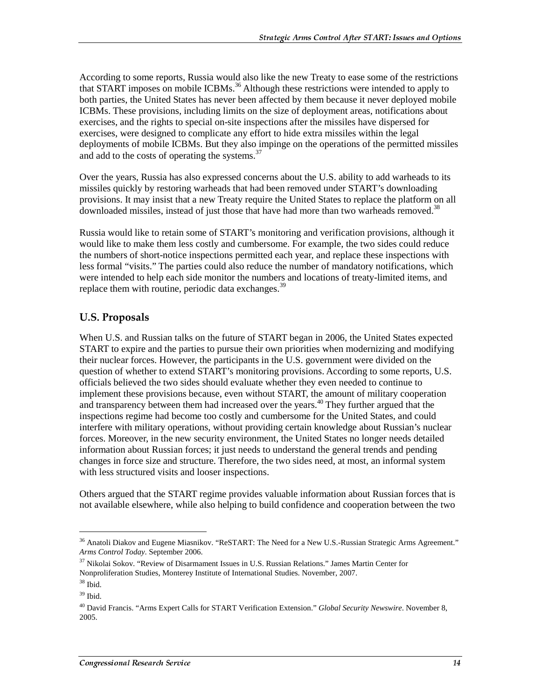According to some reports, Russia would also like the new Treaty to ease some of the restrictions that START imposes on mobile ICBMs.<sup>36</sup> Although these restrictions were intended to apply to both parties, the United States has never been affected by them because it never deployed mobile ICBMs. These provisions, including limits on the size of deployment areas, notifications about exercises, and the rights to special on-site inspections after the missiles have dispersed for exercises, were designed to complicate any effort to hide extra missiles within the legal deployments of mobile ICBMs. But they also impinge on the operations of the permitted missiles and add to the costs of operating the systems.<sup>37</sup>

Over the years, Russia has also expressed concerns about the U.S. ability to add warheads to its missiles quickly by restoring warheads that had been removed under START's downloading provisions. It may insist that a new Treaty require the United States to replace the platform on all downloaded missiles, instead of just those that have had more than two warheads removed.<sup>38</sup>

Russia would like to retain some of START's monitoring and verification provisions, although it would like to make them less costly and cumbersome. For example, the two sides could reduce the numbers of short-notice inspections permitted each year, and replace these inspections with less formal "visits." The parties could also reduce the number of mandatory notifications, which were intended to help each side monitor the numbers and locations of treaty-limited items, and replace them with routine, periodic data exchanges. $39$ 

#### U.S. Proposals

When U.S. and Russian talks on the future of START began in 2006, the United States expected START to expire and the parties to pursue their own priorities when modernizing and modifying their nuclear forces. However, the participants in the U.S. government were divided on the question of whether to extend START's monitoring provisions. According to some reports, U.S. officials believed the two sides should evaluate whether they even needed to continue to implement these provisions because, even without START, the amount of military cooperation and transparency between them had increased over the years.<sup>40</sup> They further argued that the inspections regime had become too costly and cumbersome for the United States, and could interfere with military operations, without providing certain knowledge about Russian's nuclear forces. Moreover, in the new security environment, the United States no longer needs detailed information about Russian forces; it just needs to understand the general trends and pending changes in force size and structure. Therefore, the two sides need, at most, an informal system with less structured visits and looser inspections.

Others argued that the START regime provides valuable information about Russian forces that is not available elsewhere, while also helping to build confidence and cooperation between the two

<sup>&</sup>lt;sup>36</sup> Anatoli Diakov and Eugene Miasnikov. "ReSTART: The Need for a New U.S.-Russian Strategic Arms Agreement." *Arms Control Today*. September 2006.

<sup>37</sup> Nikolai Sokov. "Review of Disarmament Issues in U.S. Russian Relations." James Martin Center for Nonproliferation Studies, Monterey Institute of International Studies. November, 2007.

<sup>38</sup> Ibid.

 $39$  Ibid.

<sup>40</sup> David Francis. "Arms Expert Calls for START Verification Extension." *Global Security Newswire*. November 8, 2005.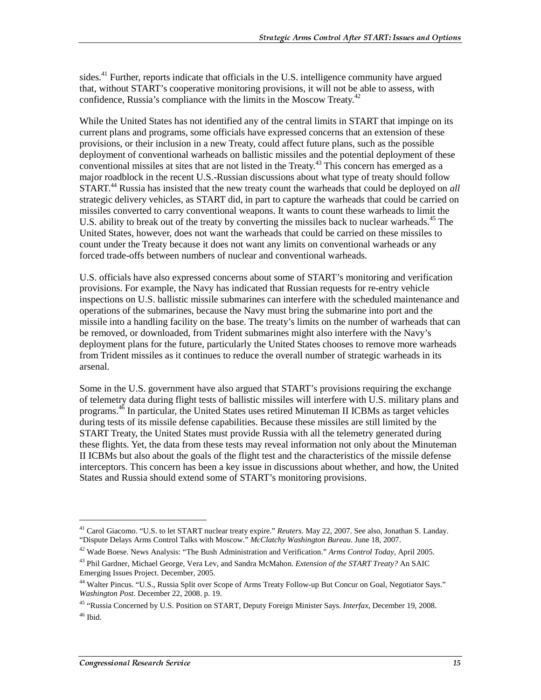sides.<sup>41</sup> Further, reports indicate that officials in the U.S. intelligence community have argued that, without START's cooperative monitoring provisions, it will not be able to assess, with confidence, Russia's compliance with the limits in the Moscow Treaty.<sup>42</sup>

While the United States has not identified any of the central limits in START that impinge on its current plans and programs, some officials have expressed concerns that an extension of these provisions, or their inclusion in a new Treaty, could affect future plans, such as the possible deployment of conventional warheads on ballistic missiles and the potential deployment of these conventional missiles at sites that are not listed in the Treaty.<sup>43</sup> This concern has emerged as a major roadblock in the recent U.S.-Russian discussions about what type of treaty should follow START.44 Russia has insisted that the new treaty count the warheads that could be deployed on *all* strategic delivery vehicles, as START did, in part to capture the warheads that could be carried on missiles converted to carry conventional weapons. It wants to count these warheads to limit the U.S. ability to break out of the treaty by converting the missiles back to nuclear warheads.<sup>45</sup> The United States, however, does not want the warheads that could be carried on these missiles to count under the Treaty because it does not want any limits on conventional warheads or any forced trade-offs between numbers of nuclear and conventional warheads.

U.S. officials have also expressed concerns about some of START's monitoring and verification provisions. For example, the Navy has indicated that Russian requests for re-entry vehicle inspections on U.S. ballistic missile submarines can interfere with the scheduled maintenance and operations of the submarines, because the Navy must bring the submarine into port and the missile into a handling facility on the base. The treaty's limits on the number of warheads that can be removed, or downloaded, from Trident submarines might also interfere with the Navy's deployment plans for the future, particularly the United States chooses to remove more warheads from Trident missiles as it continues to reduce the overall number of strategic warheads in its arsenal.

Some in the U.S. government have also argued that START's provisions requiring the exchange of telemetry data during flight tests of ballistic missiles will interfere with U.S. military plans and programs.46 In particular, the United States uses retired Minuteman II ICBMs as target vehicles during tests of its missile defense capabilities. Because these missiles are still limited by the START Treaty, the United States must provide Russia with all the telemetry generated during these flights. Yet, the data from these tests may reveal information not only about the Minuteman II ICBMs but also about the goals of the flight test and the characteristics of the missile defense interceptors. This concern has been a key issue in discussions about whether, and how, the United States and Russia should extend some of START's monitoring provisions.

 $\overline{a}$ 

<sup>41</sup> Carol Giacomo. "U.S. to let START nuclear treaty expire." *Reuters*. May 22, 2007. See also, Jonathan S. Landay. "Dispute Delays Arms Control Talks with Moscow." *McClatchy Washington Bureau.* June 18, 2007.

<sup>42</sup> Wade Boese. News Analysis: "The Bush Administration and Verification." *Arms Control Today*, April 2005.

<sup>43</sup> Phil Gardner, Michael George, Vera Lev, and Sandra McMahon. *Extension of the START Treaty?* An SAIC Emerging Issues Project. December, 2005.

<sup>&</sup>lt;sup>44</sup> Walter Pincus. "U.S., Russia Split over Scope of Arms Treaty Follow-up But Concur on Goal, Negotiator Says." *Washington Post*. December 22, 2008. p. 19.

<sup>45 &</sup>quot;Russia Concerned by U.S. Position on START, Deputy Foreign Minister Says. *Interfax*, December 19, 2008.  $46$  Ibid.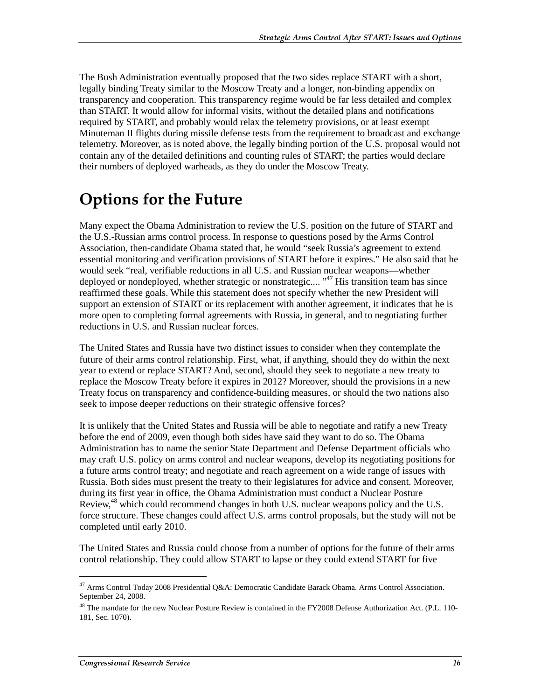The Bush Administration eventually proposed that the two sides replace START with a short, legally binding Treaty similar to the Moscow Treaty and a longer, non-binding appendix on transparency and cooperation. This transparency regime would be far less detailed and complex than START. It would allow for informal visits, without the detailed plans and notifications required by START, and probably would relax the telemetry provisions, or at least exempt Minuteman II flights during missile defense tests from the requirement to broadcast and exchange telemetry. Moreover, as is noted above, the legally binding portion of the U.S. proposal would not contain any of the detailed definitions and counting rules of START; the parties would declare their numbers of deployed warheads, as they do under the Moscow Treaty.

## **Options for the Future**

Many expect the Obama Administration to review the U.S. position on the future of START and the U.S.-Russian arms control process. In response to questions posed by the Arms Control Association, then-candidate Obama stated that, he would "seek Russia's agreement to extend essential monitoring and verification provisions of START before it expires." He also said that he would seek "real, verifiable reductions in all U.S. and Russian nuclear weapons—whether deployed or nondeployed, whether strategic or nonstrategic.... "<sup>47</sup> His transition team has since reaffirmed these goals. While this statement does not specify whether the new President will support an extension of START or its replacement with another agreement, it indicates that he is more open to completing formal agreements with Russia, in general, and to negotiating further reductions in U.S. and Russian nuclear forces.

The United States and Russia have two distinct issues to consider when they contemplate the future of their arms control relationship. First, what, if anything, should they do within the next year to extend or replace START? And, second, should they seek to negotiate a new treaty to replace the Moscow Treaty before it expires in 2012? Moreover, should the provisions in a new Treaty focus on transparency and confidence-building measures, or should the two nations also seek to impose deeper reductions on their strategic offensive forces?

It is unlikely that the United States and Russia will be able to negotiate and ratify a new Treaty before the end of 2009, even though both sides have said they want to do so. The Obama Administration has to name the senior State Department and Defense Department officials who may craft U.S. policy on arms control and nuclear weapons, develop its negotiating positions for a future arms control treaty; and negotiate and reach agreement on a wide range of issues with Russia. Both sides must present the treaty to their legislatures for advice and consent. Moreover, during its first year in office, the Obama Administration must conduct a Nuclear Posture Review,<sup>48</sup> which could recommend changes in both U.S. nuclear weapons policy and the U.S. force structure. These changes could affect U.S. arms control proposals, but the study will not be completed until early 2010.

The United States and Russia could choose from a number of options for the future of their arms control relationship. They could allow START to lapse or they could extend START for five

<sup>&</sup>lt;sup>47</sup> Arms Control Today 2008 Presidential Q&A: Democratic Candidate Barack Obama. Arms Control Association. September 24, 2008.

<sup>&</sup>lt;sup>48</sup> The mandate for the new Nuclear Posture Review is contained in the FY2008 Defense Authorization Act. (P.L. 110-181, Sec. 1070).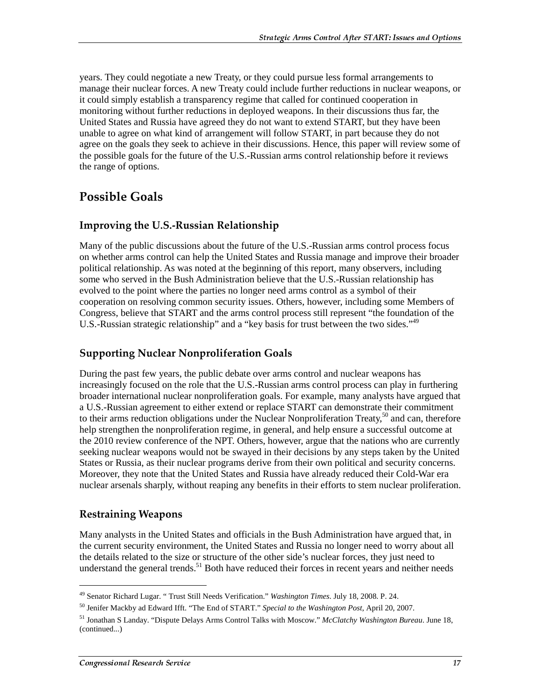years. They could negotiate a new Treaty, or they could pursue less formal arrangements to manage their nuclear forces. A new Treaty could include further reductions in nuclear weapons, or it could simply establish a transparency regime that called for continued cooperation in monitoring without further reductions in deployed weapons. In their discussions thus far, the United States and Russia have agreed they do not want to extend START, but they have been unable to agree on what kind of arrangement will follow START, in part because they do not agree on the goals they seek to achieve in their discussions. Hence, this paper will review some of the possible goals for the future of the U.S.-Russian arms control relationship before it reviews the range of options.

### **Possible Goals**

### Improving the U.S.-Russian Relationship

Many of the public discussions about the future of the U.S.-Russian arms control process focus on whether arms control can help the United States and Russia manage and improve their broader political relationship. As was noted at the beginning of this report, many observers, including some who served in the Bush Administration believe that the U.S.-Russian relationship has evolved to the point where the parties no longer need arms control as a symbol of their cooperation on resolving common security issues. Others, however, including some Members of Congress, believe that START and the arms control process still represent "the foundation of the U.S.-Russian strategic relationship" and a "key basis for trust between the two sides."<sup>49</sup>

### **Supporting Nuclear Nonproliferation Goals**

During the past few years, the public debate over arms control and nuclear weapons has increasingly focused on the role that the U.S.-Russian arms control process can play in furthering broader international nuclear nonproliferation goals. For example, many analysts have argued that a U.S.-Russian agreement to either extend or replace START can demonstrate their commitment to their arms reduction obligations under the Nuclear Nonproliferation Treaty,<sup>50</sup> and can, therefore help strengthen the nonproliferation regime, in general, and help ensure a successful outcome at the 2010 review conference of the NPT. Others, however, argue that the nations who are currently seeking nuclear weapons would not be swayed in their decisions by any steps taken by the United States or Russia, as their nuclear programs derive from their own political and security concerns. Moreover, they note that the United States and Russia have already reduced their Cold-War era nuclear arsenals sharply, without reaping any benefits in their efforts to stem nuclear proliferation.

### **Restraining Weapons**

j

Many analysts in the United States and officials in the Bush Administration have argued that, in the current security environment, the United States and Russia no longer need to worry about all the details related to the size or structure of the other side's nuclear forces, they just need to understand the general trends. $51$  Both have reduced their forces in recent years and neither needs

<sup>49</sup> Senator Richard Lugar. " Trust Still Needs Verification." *Washington Times*. July 18, 2008. P. 24.

<sup>50</sup> Jenifer Mackby ad Edward Ifft. "The End of START." *Special to the Washington Post*, April 20, 2007.

<sup>51</sup> Jonathan S Landay. "Dispute Delays Arms Control Talks with Moscow." *McClatchy Washington Bureau*. June 18, (continued...)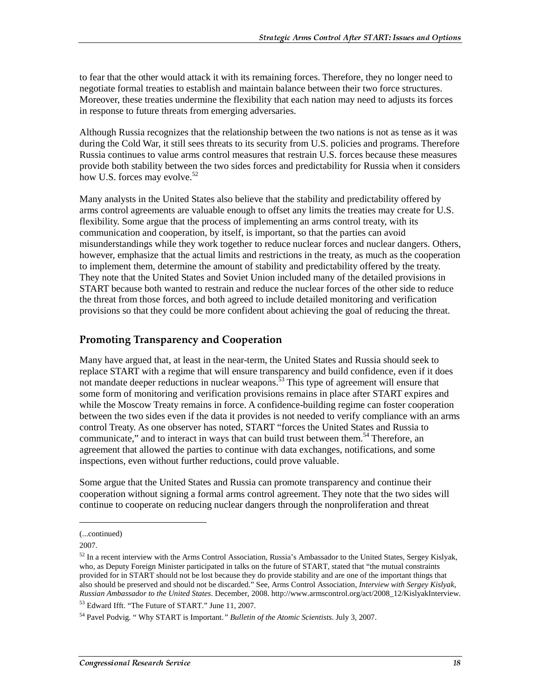to fear that the other would attack it with its remaining forces. Therefore, they no longer need to negotiate formal treaties to establish and maintain balance between their two force structures. Moreover, these treaties undermine the flexibility that each nation may need to adjusts its forces in response to future threats from emerging adversaries.

Although Russia recognizes that the relationship between the two nations is not as tense as it was during the Cold War, it still sees threats to its security from U.S. policies and programs. Therefore Russia continues to value arms control measures that restrain U.S. forces because these measures provide both stability between the two sides forces and predictability for Russia when it considers how U.S. forces may evolve.<sup>52</sup>

Many analysts in the United States also believe that the stability and predictability offered by arms control agreements are valuable enough to offset any limits the treaties may create for U.S. flexibility. Some argue that the process of implementing an arms control treaty, with its communication and cooperation, by itself, is important, so that the parties can avoid misunderstandings while they work together to reduce nuclear forces and nuclear dangers. Others, however, emphasize that the actual limits and restrictions in the treaty, as much as the cooperation to implement them, determine the amount of stability and predictability offered by the treaty. They note that the United States and Soviet Union included many of the detailed provisions in START because both wanted to restrain and reduce the nuclear forces of the other side to reduce the threat from those forces, and both agreed to include detailed monitoring and verification provisions so that they could be more confident about achieving the goal of reducing the threat.

#### Promoting Transparency and Cooperation

Many have argued that, at least in the near-term, the United States and Russia should seek to replace START with a regime that will ensure transparency and build confidence, even if it does not mandate deeper reductions in nuclear weapons.<sup>53</sup> This type of agreement will ensure that some form of monitoring and verification provisions remains in place after START expires and while the Moscow Treaty remains in force. A confidence-building regime can foster cooperation between the two sides even if the data it provides is not needed to verify compliance with an arms control Treaty. As one observer has noted, START "forces the United States and Russia to communicate," and to interact in ways that can build trust between them.<sup>54</sup> Therefore, an agreement that allowed the parties to continue with data exchanges, notifications, and some inspections, even without further reductions, could prove valuable.

Some argue that the United States and Russia can promote transparency and continue their cooperation without signing a formal arms control agreement. They note that the two sides will continue to cooperate on reducing nuclear dangers through the nonproliferation and threat

 $\overline{a}$ 

<sup>(...</sup>continued)

<sup>2007.</sup> 

 $52$  In a recent interview with the Arms Control Association, Russia's Ambassador to the United States, Sergey Kislyak, who, as Deputy Foreign Minister participated in talks on the future of START, stated that "the mutual constraints provided for in START should not be lost because they do provide stability and are one of the important things that also should be preserved and should not be discarded." See, Arms Control Association, *Interview with Sergey Kislyak, Russian Ambassador to the United States*. December, 2008. http://www.armscontrol.org/act/2008\_12/KislyakInterview. 53 Edward Ifft. "The Future of START." June 11, 2007.

<sup>54</sup> Pavel Podvig. " Why START is Important.*" Bulletin of the Atomic Scientists*. July 3, 2007.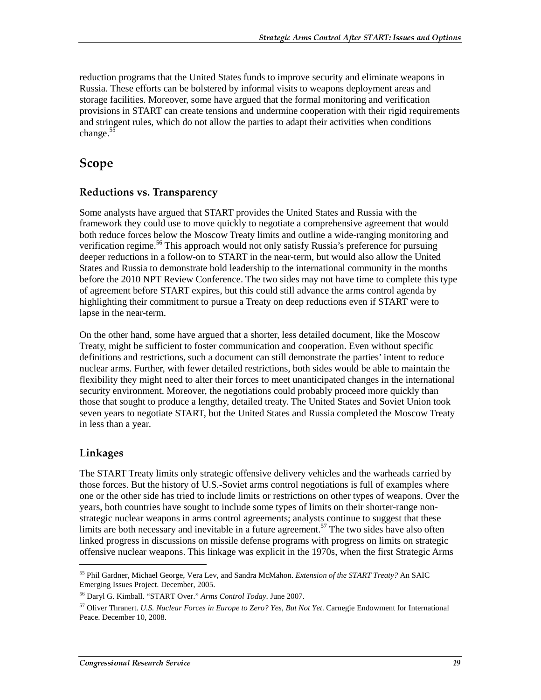reduction programs that the United States funds to improve security and eliminate weapons in Russia. These efforts can be bolstered by informal visits to weapons deployment areas and storage facilities. Moreover, some have argued that the formal monitoring and verification provisions in START can create tensions and undermine cooperation with their rigid requirements and stringent rules, which do not allow the parties to adapt their activities when conditions change. $55$ 

### **Scope**

### Reductions vs. Transparency

Some analysts have argued that START provides the United States and Russia with the framework they could use to move quickly to negotiate a comprehensive agreement that would both reduce forces below the Moscow Treaty limits and outline a wide-ranging monitoring and verification regime.<sup>56</sup> This approach would not only satisfy Russia's preference for pursuing deeper reductions in a follow-on to START in the near-term, but would also allow the United States and Russia to demonstrate bold leadership to the international community in the months before the 2010 NPT Review Conference. The two sides may not have time to complete this type of agreement before START expires, but this could still advance the arms control agenda by highlighting their commitment to pursue a Treaty on deep reductions even if START were to lapse in the near-term.

On the other hand, some have argued that a shorter, less detailed document, like the Moscow Treaty, might be sufficient to foster communication and cooperation. Even without specific definitions and restrictions, such a document can still demonstrate the parties' intent to reduce nuclear arms. Further, with fewer detailed restrictions, both sides would be able to maintain the flexibility they might need to alter their forces to meet unanticipated changes in the international security environment. Moreover, the negotiations could probably proceed more quickly than those that sought to produce a lengthy, detailed treaty. The United States and Soviet Union took seven years to negotiate START, but the United States and Russia completed the Moscow Treaty in less than a year.

### Linkages

j

The START Treaty limits only strategic offensive delivery vehicles and the warheads carried by those forces. But the history of U.S.-Soviet arms control negotiations is full of examples where one or the other side has tried to include limits or restrictions on other types of weapons. Over the years, both countries have sought to include some types of limits on their shorter-range nonstrategic nuclear weapons in arms control agreements; analysts continue to suggest that these limits are both necessary and inevitable in a future agreement.<sup>57</sup> The two sides have also often linked progress in discussions on missile defense programs with progress on limits on strategic offensive nuclear weapons. This linkage was explicit in the 1970s, when the first Strategic Arms

<sup>55</sup> Phil Gardner, Michael George, Vera Lev, and Sandra McMahon. *Extension of the START Treaty?* An SAIC Emerging Issues Project. December, 2005.

<sup>56</sup> Daryl G. Kimball. "START Over." *Arms Control Today*. June 2007.

<sup>57</sup> Oliver Thranert. *U.S. Nuclear Forces in Europe to Zero? Yes, But Not Yet*. Carnegie Endowment for International Peace. December 10, 2008.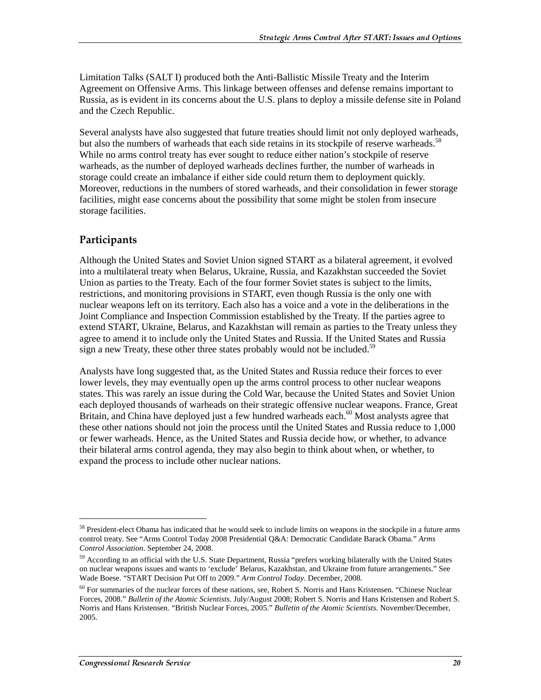Limitation Talks (SALT I) produced both the Anti-Ballistic Missile Treaty and the Interim Agreement on Offensive Arms. This linkage between offenses and defense remains important to Russia, as is evident in its concerns about the U.S. plans to deploy a missile defense site in Poland and the Czech Republic.

Several analysts have also suggested that future treaties should limit not only deployed warheads, but also the numbers of warheads that each side retains in its stockpile of reserve warheads.<sup>58</sup> While no arms control treaty has ever sought to reduce either nation's stockpile of reserve warheads, as the number of deployed warheads declines further, the number of warheads in storage could create an imbalance if either side could return them to deployment quickly. Moreover, reductions in the numbers of stored warheads, and their consolidation in fewer storage facilities, might ease concerns about the possibility that some might be stolen from insecure storage facilities.

#### Participants

j

Although the United States and Soviet Union signed START as a bilateral agreement, it evolved into a multilateral treaty when Belarus, Ukraine, Russia, and Kazakhstan succeeded the Soviet Union as parties to the Treaty. Each of the four former Soviet states is subject to the limits, restrictions, and monitoring provisions in START, even though Russia is the only one with nuclear weapons left on its territory. Each also has a voice and a vote in the deliberations in the Joint Compliance and Inspection Commission established by the Treaty. If the parties agree to extend START, Ukraine, Belarus, and Kazakhstan will remain as parties to the Treaty unless they agree to amend it to include only the United States and Russia. If the United States and Russia sign a new Treaty, these other three states probably would not be included.<sup>59</sup>

Analysts have long suggested that, as the United States and Russia reduce their forces to ever lower levels, they may eventually open up the arms control process to other nuclear weapons states. This was rarely an issue during the Cold War, because the United States and Soviet Union each deployed thousands of warheads on their strategic offensive nuclear weapons. France, Great Britain, and China have deployed just a few hundred warheads each.<sup>60</sup> Most analysts agree that these other nations should not join the process until the United States and Russia reduce to 1,000 or fewer warheads. Hence, as the United States and Russia decide how, or whether, to advance their bilateral arms control agenda, they may also begin to think about when, or whether, to expand the process to include other nuclear nations.

<sup>&</sup>lt;sup>58</sup> President-elect Obama has indicated that he would seek to include limits on weapons in the stockpile in a future arms control treaty. See "Arms Control Today 2008 Presidential Q&A: Democratic Candidate Barack Obama." *Arms Control Association*. September 24, 2008.

<sup>&</sup>lt;sup>59</sup> According to an official with the U.S. State Department, Russia "prefers working bilaterally with the United States on nuclear weapons issues and wants to 'exclude' Belarus, Kazakhstan, and Ukraine from future arrangements." See Wade Boese. "START Decision Put Off to 2009." *Arm Control Today*. December, 2008.

<sup>&</sup>lt;sup>60</sup> For summaries of the nuclear forces of these nations, see, Robert S. Norris and Hans Kristensen. "Chinese Nuclear Forces, 2008." *Bulletin of the Atomic Scientists*. July/August 2008; Robert S. Norris and Hans Kristensen and Robert S. Norris and Hans Kristensen. "British Nuclear Forces, 2005." *Bulletin of the Atomic Scientists*. November/December, 2005.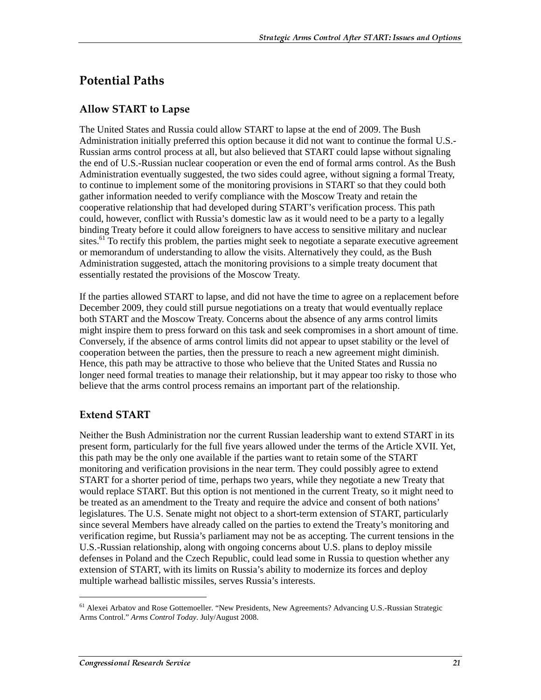### Potential Paths

### **Allow START to Lapse**

The United States and Russia could allow START to lapse at the end of 2009. The Bush Administration initially preferred this option because it did not want to continue the formal U.S.- Russian arms control process at all, but also believed that START could lapse without signaling the end of U.S.-Russian nuclear cooperation or even the end of formal arms control. As the Bush Administration eventually suggested, the two sides could agree, without signing a formal Treaty, to continue to implement some of the monitoring provisions in START so that they could both gather information needed to verify compliance with the Moscow Treaty and retain the cooperative relationship that had developed during START's verification process. This path could, however, conflict with Russia's domestic law as it would need to be a party to a legally binding Treaty before it could allow foreigners to have access to sensitive military and nuclear sites.<sup>61</sup> To rectify this problem, the parties might seek to negotiate a separate executive agreement or memorandum of understanding to allow the visits. Alternatively they could, as the Bush Administration suggested, attach the monitoring provisions to a simple treaty document that essentially restated the provisions of the Moscow Treaty.

If the parties allowed START to lapse, and did not have the time to agree on a replacement before December 2009, they could still pursue negotiations on a treaty that would eventually replace both START and the Moscow Treaty. Concerns about the absence of any arms control limits might inspire them to press forward on this task and seek compromises in a short amount of time. Conversely, if the absence of arms control limits did not appear to upset stability or the level of cooperation between the parties, then the pressure to reach a new agreement might diminish. Hence, this path may be attractive to those who believe that the United States and Russia no longer need formal treaties to manage their relationship, but it may appear too risky to those who believe that the arms control process remains an important part of the relationship.

### **Extend START**

Neither the Bush Administration nor the current Russian leadership want to extend START in its present form, particularly for the full five years allowed under the terms of the Article XVII. Yet, this path may be the only one available if the parties want to retain some of the START monitoring and verification provisions in the near term. They could possibly agree to extend START for a shorter period of time, perhaps two years, while they negotiate a new Treaty that would replace START. But this option is not mentioned in the current Treaty, so it might need to be treated as an amendment to the Treaty and require the advice and consent of both nations' legislatures. The U.S. Senate might not object to a short-term extension of START, particularly since several Members have already called on the parties to extend the Treaty's monitoring and verification regime, but Russia's parliament may not be as accepting. The current tensions in the U.S.-Russian relationship, along with ongoing concerns about U.S. plans to deploy missile defenses in Poland and the Czech Republic, could lead some in Russia to question whether any extension of START, with its limits on Russia's ability to modernize its forces and deploy multiple warhead ballistic missiles, serves Russia's interests.

<sup>&</sup>lt;sup>61</sup> Alexei Arbatov and Rose Gottemoeller. "New Presidents, New Agreements? Advancing U.S.-Russian Strategic Arms Control." *Arms Control Today*. July/August 2008.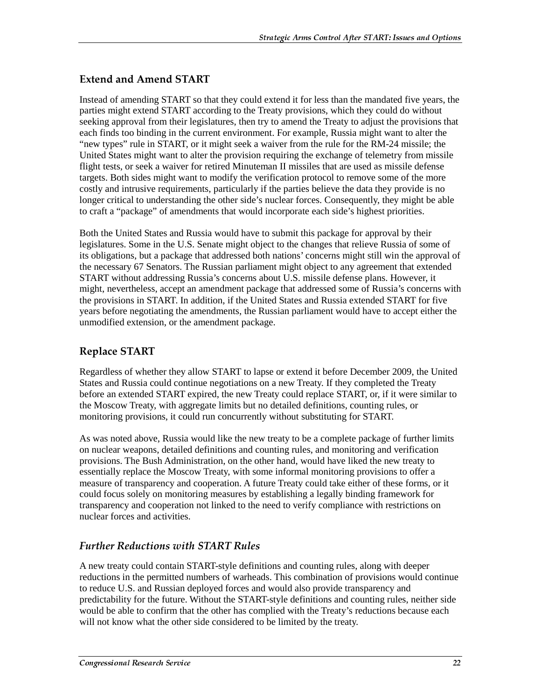### **Extend and Amend START**

Instead of amending START so that they could extend it for less than the mandated five years, the parties might extend START according to the Treaty provisions, which they could do without seeking approval from their legislatures, then try to amend the Treaty to adjust the provisions that each finds too binding in the current environment. For example, Russia might want to alter the "new types" rule in START, or it might seek a waiver from the rule for the RM-24 missile; the United States might want to alter the provision requiring the exchange of telemetry from missile flight tests, or seek a waiver for retired Minuteman II missiles that are used as missile defense targets. Both sides might want to modify the verification protocol to remove some of the more costly and intrusive requirements, particularly if the parties believe the data they provide is no longer critical to understanding the other side's nuclear forces. Consequently, they might be able to craft a "package" of amendments that would incorporate each side's highest priorities.

Both the United States and Russia would have to submit this package for approval by their legislatures. Some in the U.S. Senate might object to the changes that relieve Russia of some of its obligations, but a package that addressed both nations' concerns might still win the approval of the necessary 67 Senators. The Russian parliament might object to any agreement that extended START without addressing Russia's concerns about U.S. missile defense plans. However, it might, nevertheless, accept an amendment package that addressed some of Russia's concerns with the provisions in START. In addition, if the United States and Russia extended START for five years before negotiating the amendments, the Russian parliament would have to accept either the unmodified extension, or the amendment package.

### Replace START

Regardless of whether they allow START to lapse or extend it before December 2009, the United States and Russia could continue negotiations on a new Treaty. If they completed the Treaty before an extended START expired, the new Treaty could replace START, or, if it were similar to the Moscow Treaty, with aggregate limits but no detailed definitions, counting rules, or monitoring provisions, it could run concurrently without substituting for START.

As was noted above, Russia would like the new treaty to be a complete package of further limits on nuclear weapons, detailed definitions and counting rules, and monitoring and verification provisions. The Bush Administration, on the other hand, would have liked the new treaty to essentially replace the Moscow Treaty, with some informal monitoring provisions to offer a measure of transparency and cooperation. A future Treaty could take either of these forms, or it could focus solely on monitoring measures by establishing a legally binding framework for transparency and cooperation not linked to the need to verify compliance with restrictions on nuclear forces and activities.

### Further Reductions with START Rules

A new treaty could contain START-style definitions and counting rules, along with deeper reductions in the permitted numbers of warheads. This combination of provisions would continue to reduce U.S. and Russian deployed forces and would also provide transparency and predictability for the future. Without the START-style definitions and counting rules, neither side would be able to confirm that the other has complied with the Treaty's reductions because each will not know what the other side considered to be limited by the treaty.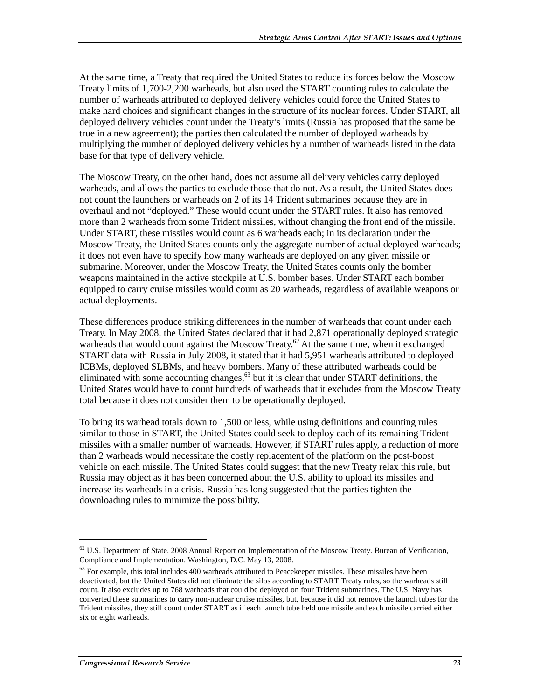At the same time, a Treaty that required the United States to reduce its forces below the Moscow Treaty limits of 1,700-2,200 warheads, but also used the START counting rules to calculate the number of warheads attributed to deployed delivery vehicles could force the United States to make hard choices and significant changes in the structure of its nuclear forces. Under START, all deployed delivery vehicles count under the Treaty's limits (Russia has proposed that the same be true in a new agreement); the parties then calculated the number of deployed warheads by multiplying the number of deployed delivery vehicles by a number of warheads listed in the data base for that type of delivery vehicle.

The Moscow Treaty, on the other hand, does not assume all delivery vehicles carry deployed warheads, and allows the parties to exclude those that do not. As a result, the United States does not count the launchers or warheads on 2 of its 14 Trident submarines because they are in overhaul and not "deployed." These would count under the START rules. It also has removed more than 2 warheads from some Trident missiles, without changing the front end of the missile. Under START, these missiles would count as 6 warheads each; in its declaration under the Moscow Treaty, the United States counts only the aggregate number of actual deployed warheads; it does not even have to specify how many warheads are deployed on any given missile or submarine. Moreover, under the Moscow Treaty, the United States counts only the bomber weapons maintained in the active stockpile at U.S. bomber bases. Under START each bomber equipped to carry cruise missiles would count as 20 warheads, regardless of available weapons or actual deployments.

These differences produce striking differences in the number of warheads that count under each Treaty. In May 2008, the United States declared that it had 2,871 operationally deployed strategic warheads that would count against the Moscow Treaty.<sup>62</sup> At the same time, when it exchanged START data with Russia in July 2008, it stated that it had 5,951 warheads attributed to deployed ICBMs, deployed SLBMs, and heavy bombers. Many of these attributed warheads could be eliminated with some accounting changes,<sup>63</sup> but it is clear that under START definitions, the United States would have to count hundreds of warheads that it excludes from the Moscow Treaty total because it does not consider them to be operationally deployed.

To bring its warhead totals down to 1,500 or less, while using definitions and counting rules similar to those in START, the United States could seek to deploy each of its remaining Trident missiles with a smaller number of warheads. However, if START rules apply, a reduction of more than 2 warheads would necessitate the costly replacement of the platform on the post-boost vehicle on each missile. The United States could suggest that the new Treaty relax this rule, but Russia may object as it has been concerned about the U.S. ability to upload its missiles and increase its warheads in a crisis. Russia has long suggested that the parties tighten the downloading rules to minimize the possibility.

 $62$  U.S. Department of State. 2008 Annual Report on Implementation of the Moscow Treaty. Bureau of Verification, Compliance and Implementation. Washington, D.C. May 13, 2008.

 $63$  For example, this total includes 400 warheads attributed to Peacekeeper missiles. These missiles have been deactivated, but the United States did not eliminate the silos according to START Treaty rules, so the warheads still count. It also excludes up to 768 warheads that could be deployed on four Trident submarines. The U.S. Navy has converted these submarines to carry non-nuclear cruise missiles, but, because it did not remove the launch tubes for the Trident missiles, they still count under START as if each launch tube held one missile and each missile carried either six or eight warheads.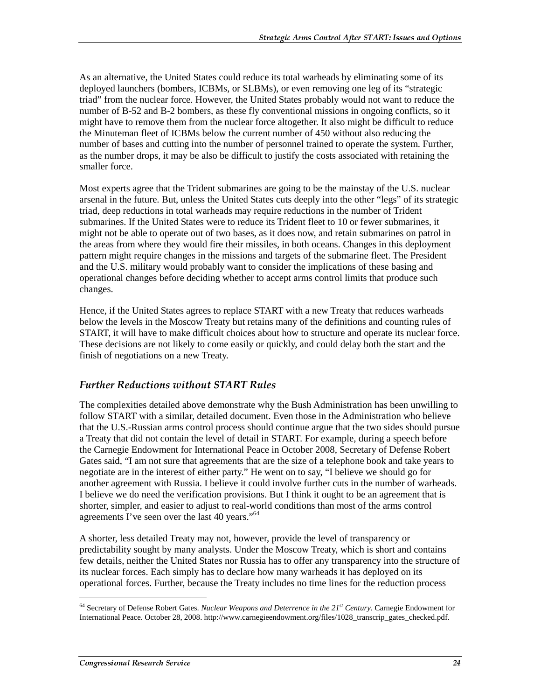As an alternative, the United States could reduce its total warheads by eliminating some of its deployed launchers (bombers, ICBMs, or SLBMs), or even removing one leg of its "strategic triad" from the nuclear force. However, the United States probably would not want to reduce the number of B-52 and B-2 bombers, as these fly conventional missions in ongoing conflicts, so it might have to remove them from the nuclear force altogether. It also might be difficult to reduce the Minuteman fleet of ICBMs below the current number of 450 without also reducing the number of bases and cutting into the number of personnel trained to operate the system. Further, as the number drops, it may be also be difficult to justify the costs associated with retaining the smaller force.

Most experts agree that the Trident submarines are going to be the mainstay of the U.S. nuclear arsenal in the future. But, unless the United States cuts deeply into the other "legs" of its strategic triad, deep reductions in total warheads may require reductions in the number of Trident submarines. If the United States were to reduce its Trident fleet to 10 or fewer submarines, it might not be able to operate out of two bases, as it does now, and retain submarines on patrol in the areas from where they would fire their missiles, in both oceans. Changes in this deployment pattern might require changes in the missions and targets of the submarine fleet. The President and the U.S. military would probably want to consider the implications of these basing and operational changes before deciding whether to accept arms control limits that produce such changes.

Hence, if the United States agrees to replace START with a new Treaty that reduces warheads below the levels in the Moscow Treaty but retains many of the definitions and counting rules of START, it will have to make difficult choices about how to structure and operate its nuclear force. These decisions are not likely to come easily or quickly, and could delay both the start and the finish of negotiations on a new Treaty.

#### Further Reductions without START Rules

The complexities detailed above demonstrate why the Bush Administration has been unwilling to follow START with a similar, detailed document. Even those in the Administration who believe that the U.S.-Russian arms control process should continue argue that the two sides should pursue a Treaty that did not contain the level of detail in START. For example, during a speech before the Carnegie Endowment for International Peace in October 2008, Secretary of Defense Robert Gates said, "I am not sure that agreements that are the size of a telephone book and take years to negotiate are in the interest of either party." He went on to say, "I believe we should go for another agreement with Russia. I believe it could involve further cuts in the number of warheads. I believe we do need the verification provisions. But I think it ought to be an agreement that is shorter, simpler, and easier to adjust to real-world conditions than most of the arms control agreements I've seen over the last 40 years."<sup>64</sup>

A shorter, less detailed Treaty may not, however, provide the level of transparency or predictability sought by many analysts. Under the Moscow Treaty, which is short and contains few details, neither the United States nor Russia has to offer any transparency into the structure of its nuclear forces. Each simply has to declare how many warheads it has deployed on its operational forces. Further, because the Treaty includes no time lines for the reduction process

<sup>64</sup> Secretary of Defense Robert Gates. *Nuclear Weapons and Deterrence in the 21st Century*. Carnegie Endowment for International Peace. October 28, 2008. http://www.carnegieendowment.org/files/1028\_transcrip\_gates\_checked.pdf.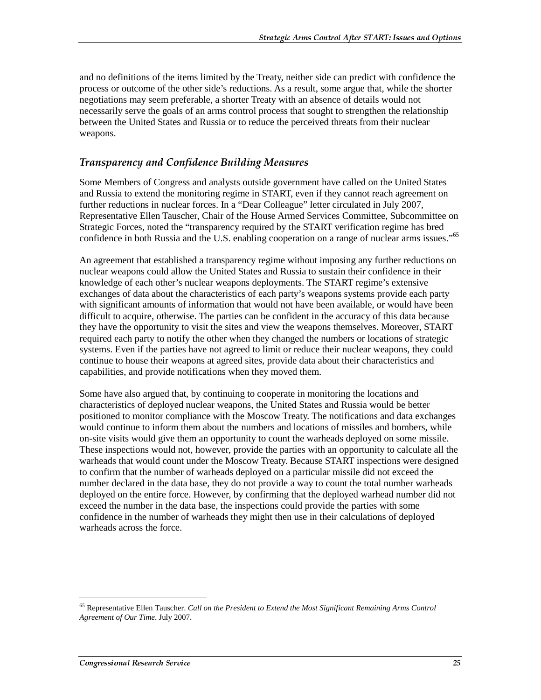and no definitions of the items limited by the Treaty, neither side can predict with confidence the process or outcome of the other side's reductions. As a result, some argue that, while the shorter negotiations may seem preferable, a shorter Treaty with an absence of details would not necessarily serve the goals of an arms control process that sought to strengthen the relationship between the United States and Russia or to reduce the perceived threats from their nuclear weapons.

### Transparency and Confidence Building Measures

Some Members of Congress and analysts outside government have called on the United States and Russia to extend the monitoring regime in START, even if they cannot reach agreement on further reductions in nuclear forces. In a "Dear Colleague" letter circulated in July 2007, Representative Ellen Tauscher, Chair of the House Armed Services Committee, Subcommittee on Strategic Forces, noted the "transparency required by the START verification regime has bred confidence in both Russia and the U.S. enabling cooperation on a range of nuclear arms issues."<sup>65</sup>

An agreement that established a transparency regime without imposing any further reductions on nuclear weapons could allow the United States and Russia to sustain their confidence in their knowledge of each other's nuclear weapons deployments. The START regime's extensive exchanges of data about the characteristics of each party's weapons systems provide each party with significant amounts of information that would not have been available, or would have been difficult to acquire, otherwise. The parties can be confident in the accuracy of this data because they have the opportunity to visit the sites and view the weapons themselves. Moreover, START required each party to notify the other when they changed the numbers or locations of strategic systems. Even if the parties have not agreed to limit or reduce their nuclear weapons, they could continue to house their weapons at agreed sites, provide data about their characteristics and capabilities, and provide notifications when they moved them.

Some have also argued that, by continuing to cooperate in monitoring the locations and characteristics of deployed nuclear weapons, the United States and Russia would be better positioned to monitor compliance with the Moscow Treaty. The notifications and data exchanges would continue to inform them about the numbers and locations of missiles and bombers, while on-site visits would give them an opportunity to count the warheads deployed on some missile. These inspections would not, however, provide the parties with an opportunity to calculate all the warheads that would count under the Moscow Treaty. Because START inspections were designed to confirm that the number of warheads deployed on a particular missile did not exceed the number declared in the data base, they do not provide a way to count the total number warheads deployed on the entire force. However, by confirming that the deployed warhead number did not exceed the number in the data base, the inspections could provide the parties with some confidence in the number of warheads they might then use in their calculations of deployed warheads across the force.

<sup>65</sup> Representative Ellen Tauscher. *Call on the President to Extend the Most Significant Remaining Arms Control Agreement of Our Time*. July 2007.